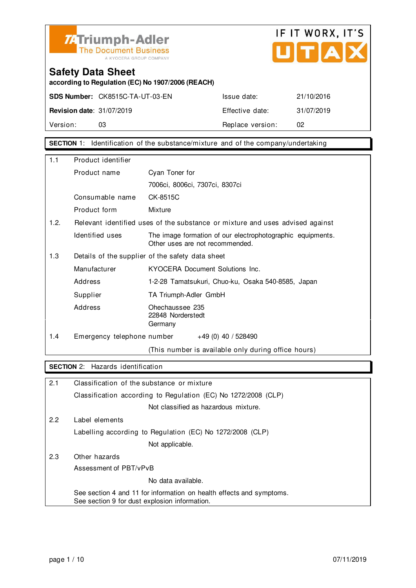



**according to Regulation (EC) No 1907/2006 (REACH)**

**SDS Number:** CK8515C-TA-UT-03-EN Issue date: 21/10/2016 **Revision date:** 31/07/2019 **Effective date:** 31/07/2019 Version: 03 03 Replace version: 02

**SECTION** 1: Identification of the substance/mixture and of the company/undertaking

| 1.1                                                     | Product identifier         |                                                                                               |
|---------------------------------------------------------|----------------------------|-----------------------------------------------------------------------------------------------|
|                                                         | Product name               | Cyan Toner for                                                                                |
|                                                         |                            | 7006ci, 8006ci, 7307ci, 8307ci                                                                |
|                                                         | Consumable name            | CK-8515C                                                                                      |
|                                                         | Product form               | Mixture                                                                                       |
| 1.2.                                                    |                            | Relevant identified uses of the substance or mixture and uses advised against                 |
|                                                         | Identified uses            | The image formation of our electrophotographic equipments.<br>Other uses are not recommended. |
| 1.3<br>Details of the supplier of the safety data sheet |                            |                                                                                               |
|                                                         | Manufacturer               | KYOCERA Document Solutions Inc.                                                               |
|                                                         | Address                    | 1-2-28 Tamatsukuri, Chuo-ku, Osaka 540-8585, Japan                                            |
|                                                         | Supplier                   | TA Triumph-Adler GmbH                                                                         |
|                                                         | Address                    | Ohechaussee 235<br>22848 Norderstedt<br>Germany                                               |
| 1.4                                                     | Emergency telephone number | $+49(0)$ 40 / 528490                                                                          |
|                                                         |                            | (This number is available only during office hours)                                           |

#### **SECTION** 2: Hazards identification

| 2.1 | Classification of the substance or mixture                                                                            |
|-----|-----------------------------------------------------------------------------------------------------------------------|
|     | Classification according to Regulation (EC) No 1272/2008 (CLP)                                                        |
|     | Not classified as hazardous mixture.                                                                                  |
| 2.2 | Label elements                                                                                                        |
|     | Labelling according to Regulation (EC) No 1272/2008 (CLP)                                                             |
|     | Not applicable.                                                                                                       |
| 2.3 | Other hazards                                                                                                         |
|     | Assessment of PBT/vPvB                                                                                                |
|     | No data available.                                                                                                    |
|     | See section 4 and 11 for information on health effects and symptoms.<br>See section 9 for dust explosion information. |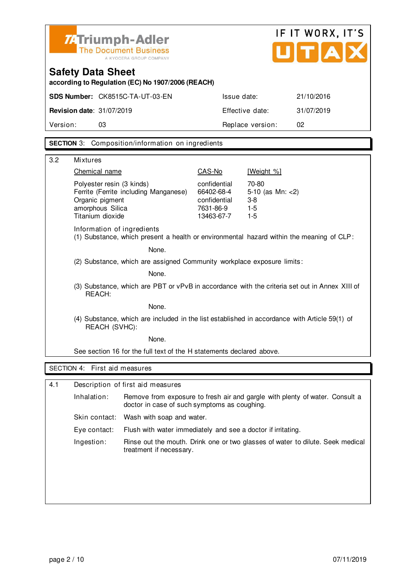

# IF IT WORX, IT'S UTAX

### **Safety Data Sheet according to Regulation (EC) No 1907/2006 (REACH)**

|                                  | <b>SDS Number: CK8515C-TA-UT-03-EN</b> | Issue date:      | 21/10/2016 |
|----------------------------------|----------------------------------------|------------------|------------|
| <b>Revision date: 31/07/2019</b> |                                        | Effective date:  | 31/07/2019 |
| Version:                         | 03                                     | Replace version: | -02        |
|                                  |                                        |                  |            |

#### **SECTION** 3: Composition/information on ingredients

| 3.2 | <b>Mixtures</b>                                                                                                               |                                                                       |                                                          |  |
|-----|-------------------------------------------------------------------------------------------------------------------------------|-----------------------------------------------------------------------|----------------------------------------------------------|--|
|     | Chemical name                                                                                                                 | CAS-No                                                                | [Weight %]                                               |  |
|     | Polyester resin (3 kinds)<br>Ferrite (Ferrite including Manganese)<br>Organic pigment<br>amorphous Silica<br>Titanium dioxide | confidential<br>66402-68-4<br>confidential<br>7631-86-9<br>13463-67-7 | 70-80<br>5-10 (as $Mn: < 2$ )<br>$3-8$<br>$1-5$<br>$1-5$ |  |
|     | Information of ingredients<br>(1) Substance, which present a health or environmental hazard within the meaning of CLP:        |                                                                       |                                                          |  |
|     | None.                                                                                                                         |                                                                       |                                                          |  |
|     | (2) Substance, which are assigned Community workplace exposure limits:                                                        |                                                                       |                                                          |  |
|     | None.                                                                                                                         |                                                                       |                                                          |  |
|     | (3) Substance, which are PBT or vPvB in accordance with the criteria set out in Annex XIII of<br>REACH:                       |                                                                       |                                                          |  |
|     | None.                                                                                                                         |                                                                       |                                                          |  |
|     | (4) Substance, which are included in the list established in accordance with Article 59(1) of<br>REACH (SVHC):                |                                                                       |                                                          |  |
|     | None.                                                                                                                         |                                                                       |                                                          |  |
|     | See section 16 for the full text of the H statements declared above.                                                          |                                                                       |                                                          |  |
|     | SECTION 4: First aid measures                                                                                                 |                                                                       |                                                          |  |
|     |                                                                                                                               |                                                                       |                                                          |  |
| 4.1 | Description of first aid measures                                                                                             |                                                                       |                                                          |  |

| Inhalation:   | Remove from exposure to fresh air and gargle with plenty of water. Consult a<br>doctor in case of such symptoms as coughing. |
|---------------|------------------------------------------------------------------------------------------------------------------------------|
| Skin contact: | Wash with soap and water.                                                                                                    |
| Eve contact:  | Flush with water immediately and see a doctor if irritating.                                                                 |
| Ingestion:    | Rinse out the mouth. Drink one or two glasses of water to dilute. Seek medical<br>treatment if necessary.                    |
|               |                                                                                                                              |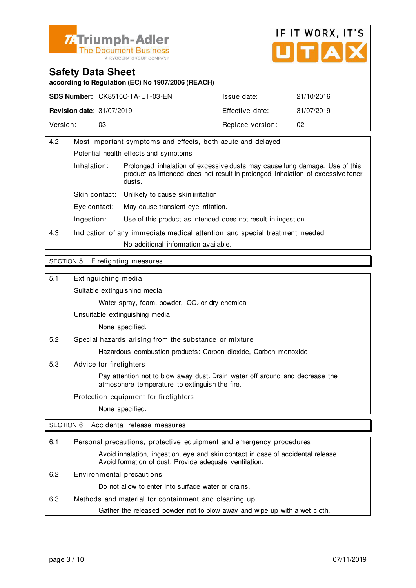



**according to Regulation (EC) No 1907/2006 (REACH)**

|                                  | <b>SDS Number: CK8515C-TA-UT-03-EN</b> | Issue date:      | 21/10/2016 |
|----------------------------------|----------------------------------------|------------------|------------|
| <b>Revision date: 31/07/2019</b> |                                        | Effective date:  | 31/07/2019 |
| Version:                         |                                        | Replace version: | 02         |

| 4.2                   | Most important symptoms and effects, both acute and delayed                |                                                                                                                                                              |
|-----------------------|----------------------------------------------------------------------------|--------------------------------------------------------------------------------------------------------------------------------------------------------------|
|                       | Potential health effects and symptoms                                      |                                                                                                                                                              |
| Inhalation:<br>dusts. |                                                                            | Prolonged inhalation of excessive dusts may cause lung damage. Use of this<br>product as intended does not result in prolonged inhalation of excessive toner |
|                       | Skin contact:                                                              | Unlikely to cause skin irritation.                                                                                                                           |
|                       | Eye contact:                                                               | May cause transient eye irritation.                                                                                                                          |
|                       | Ingestion:                                                                 | Use of this product as intended does not result in ingestion.                                                                                                |
| 4.3                   | Indication of any immediate medical attention and special treatment needed |                                                                                                                                                              |
|                       |                                                                            | No additional information available.                                                                                                                         |
|                       |                                                                            |                                                                                                                                                              |

#### SECTION 5: Firefighting measures

5.1 Extinguishing media

Suitable extinguishing media

Water spray, foam, powder, CO<sub>2</sub> or dry chemical

Unsuitable extinguishing media

None specified.

5.2 Special hazards arising from the substance or mixture

Hazardous combustion products: Carbon dioxide, Carbon monoxide

5.3 Advice for firefighters

 Pay attention not to blow away dust. Drain water off around and decrease the atmosphere temperature to extinguish the fire.

Protection equipment for firefighters

None specified.

SECTION 6: Accidental release measures

| 6.1 | Personal precautions, protective equipment and emergency procedures                                                                        |
|-----|--------------------------------------------------------------------------------------------------------------------------------------------|
|     | Avoid inhalation, ingestion, eye and skin contact in case of accidental release.<br>Avoid formation of dust. Provide adequate ventilation. |
| 6.2 | Environmental precautions                                                                                                                  |
|     | Do not allow to enter into surface water or drains.                                                                                        |
| 6.3 | Methods and material for containment and cleaning up                                                                                       |
|     | Gather the released powder not to blow away and wipe up with a wet cloth.                                                                  |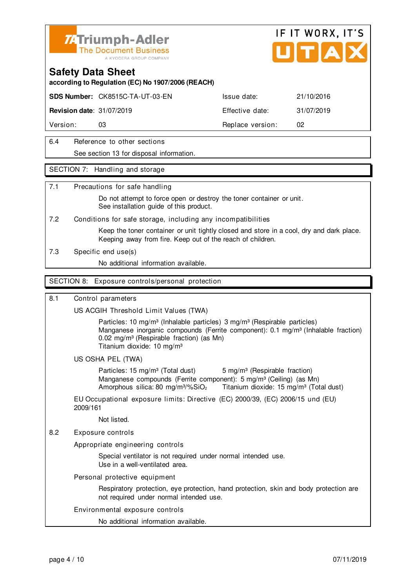

#### **Safety Data Sheet**

**according to Regulation (EC) No 1907/2006 (REACH)**

**SDS Number:** CK8515C-TA-UT-03-EN Issue date: 21/10/2016

**Revision date:** 31/07/2019 **Effective date:** 31/07/2019

Version: 03 03 Replace version: 02

6.4 Reference to other sections See section 13 for disposal information.

#### SECTION 7: Handling and storage

#### 7.1 Precautions for safe handling

 Do not attempt to force open or destroy the toner container or unit. See installation quide of this product.

7.2 Conditions for safe storage, including any incompatibilities

 Keep the toner container or unit tightly closed and store in a cool, dry and dark place. Keeping away from fire. Keep out of the reach of children.

7.3 Specific end use(s)

No additional information available.

#### SECTION 8: Exposure controls/personal protection

#### 8.1 Control parameters

US ACGIH Threshold Limit Values (TWA)

Particles: 10 mg/m<sup>3</sup> (Inhalable particles) 3 mg/m<sup>3</sup> (Respirable particles) Manganese inorganic compounds (Ferrite component): 0.1 mg/m<sup>3</sup> (Inhalable fraction) 0.02 mg/m<sup>3</sup> (Respirable fraction) (as Mn) Titanium dioxide: 10 mg/m³

#### US OSHA PEL (TWA)

Particles: 15 mg/m<sup>3</sup> (Total dust) 5 mg/m<sup>3</sup> (Respirable fraction) Manganese compounds (Ferrite component): 5 mg/m<sup>3</sup> (Ceiling) (as Mn) Amorphous silica: 80 mg/m $\frac{3}{2}$  Titanium dioxide: 15 mg/m $\frac{3}{2}$  (Total dust)

EU Occupational exposure limits: Directive (EC) 2000/39, (EC) 2006/15 und (EU) 2009/161

Not listed.

8.2 Exposure controls

Appropriate engineering controls

 Special ventilator is not required under normal intended use. Use in a well-ventilated area.

Personal protective equipment

 Respiratory protection, eye protection, hand protection, skin and body protection are not required under normal intended use.

#### Environmental exposure controls

No additional information available.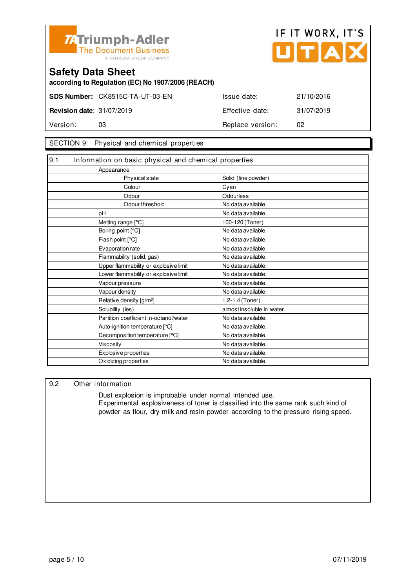



**according to Regulation (EC) No 1907/2006 (REACH)**

|                                  | <b>SDS Number: CK8515C-TA-UT-03-EN</b> | Issue date:      | 21/10/2016 |
|----------------------------------|----------------------------------------|------------------|------------|
| <b>Revision date: 31/07/2019</b> |                                        | Effective date:  | 31/07/2019 |
| Version:                         | 03                                     | Replace version: | 02         |

#### SECTION 9: Physical and chemical properties

| 9.1<br>Information on basic physical and chemical properties |                            |
|--------------------------------------------------------------|----------------------------|
| Appearance                                                   |                            |
| Physical state                                               | Solid (fine powder)        |
| Colour                                                       | Cyan                       |
| Odour                                                        | Odourless                  |
| Odour threshold                                              | No data available.         |
| рH                                                           | No data available.         |
| Melting range [°C]                                           | 100-120 (Toner)            |
| Boiling point [°C]                                           | No data available.         |
| Flash point [°C]                                             | No data available.         |
| Evaporation rate                                             | No data available.         |
| Flammability (solid, gas)                                    | No data available.         |
| Upper flammability or explosive limit                        | No data available.         |
| Lower flammability or explosive limit                        | No data available.         |
| Vapour pressure                                              | No data available.         |
| Vapour density                                               | No data available.         |
| Relative density [g/m <sup>3</sup> ]                         | 1.2-1.4 (Toner)            |
| Solubility (ies)                                             | almost insoluble in water. |
| Partition coefficient: n-octanol/water                       | No data available.         |
| Auto-ignition temperature [°C]                               | No data available.         |
| Decomposition temperature [°C]                               | No data available.         |
| <b>Viscosity</b>                                             | No data available.         |
| Explosive properties                                         | No data available.         |
| Oxidizing properties                                         | No data available.         |

#### 9.2 Other information

 Dust explosion is improbable under normal intended use. Experimental explosiveness of toner is classified into the same rank such kind of powder as flour, dry milk and resin powder according to the pressure rising speed.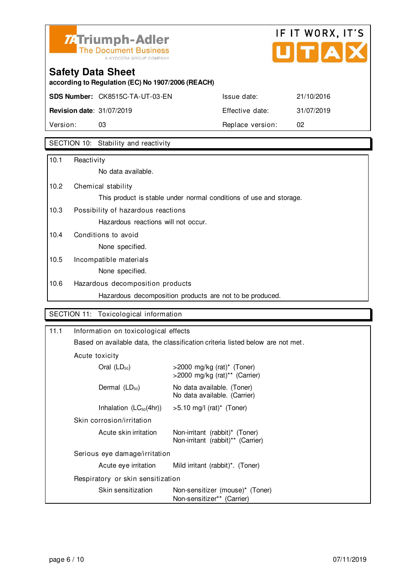

# IF IT WORX, IT'S  $\overline{\phantom{a}}$

## **Safety Data Sheet**

**according to Regulation (EC) No 1907/2006 (REACH)**

**SDS Number:** CK8515C-TA-UT-03-EN Issue date: 21/10/2016

**Revision date:** 31/07/2019 **Effective date:** 31/07/2019 Version: 03 03 Replace version: 02

### SECTION 10: Stability and reactivity

| 10.1 | Reactivity                                                         |
|------|--------------------------------------------------------------------|
|      | No data available.                                                 |
| 10.2 | Chemical stability                                                 |
|      | This product is stable under normal conditions of use and storage. |
| 10.3 | Possibility of hazardous reactions                                 |
|      | Hazardous reactions will not occur.                                |
| 10.4 | Conditions to avoid                                                |
|      | None specified.                                                    |
| 10.5 | Incompatible materials                                             |
|      | None specified.                                                    |
| 10.6 | Hazardous decomposition products                                   |
|      | Hazardous decomposition products are not to be produced.           |

#### SECTION 11: Toxicological information

| 11.1 | Information on toxicological effects                                                             |                                                                     |  |
|------|--------------------------------------------------------------------------------------------------|---------------------------------------------------------------------|--|
|      | Based on available data, the classification criteria listed below are not met.<br>Acute toxicity |                                                                     |  |
|      |                                                                                                  |                                                                     |  |
|      | Oral $(LD_{50})$                                                                                 | $>$ 2000 mg/kg (rat)* (Toner)<br>>2000 mg/kg (rat)** (Carrier)      |  |
|      | Dermal $(LD_{50})$                                                                               | No data available. (Toner)<br>No data available. (Carrier)          |  |
|      | Inhalation $(LC_{50}(4hr))$                                                                      | $>5.10$ mg/l (rat)* (Toner)                                         |  |
|      | Skin corrosion/irritation                                                                        |                                                                     |  |
|      | Acute skin irritation                                                                            | Non-irritant (rabbit)* (Toner)<br>Non-irritant (rabbit)** (Carrier) |  |
|      | Serious eye damage/irritation                                                                    |                                                                     |  |
|      | Acute eye irritation                                                                             | Mild irritant (rabbit) <sup>*</sup> . (Toner)                       |  |
|      | Respiratory or skin sensitization                                                                |                                                                     |  |
|      | Skin sensitization                                                                               | Non-sensitizer (mouse)* (Toner)<br>Non-sensitizer** (Carrier)       |  |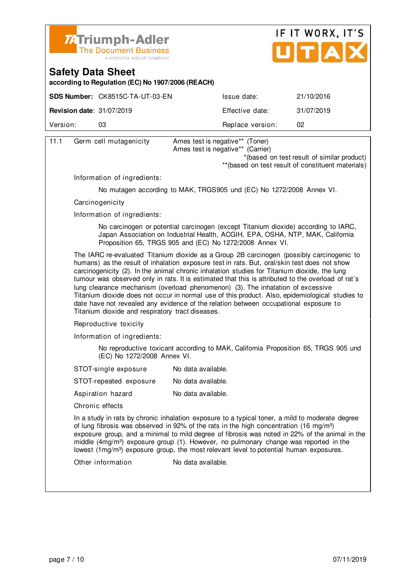



**according to Regulation (EC) No 1907/2006 (REACH)**

|                                  | <b>SDS Number: CK8515C-TA-UT-03-EN</b> | Issue date:      | 21/10/2016 |
|----------------------------------|----------------------------------------|------------------|------------|
| <b>Revision date: 31/07/2019</b> |                                        | Effective date:  | 31/07/2019 |
| Version:                         |                                        | Replace version: | 02         |
|                                  |                                        |                  |            |

| 11.1                                                                                                                                                                                                                                                                                                                                                                                                                                                                                                                                                                                                                                                                                                                              | Germ cell mutagenicity                                                                                                                                                                                                                                                                                                                                                                                                                                                                                             | Ames test is negative** (Toner)<br>Ames test is negative** (Carrier) |  |  |
|-----------------------------------------------------------------------------------------------------------------------------------------------------------------------------------------------------------------------------------------------------------------------------------------------------------------------------------------------------------------------------------------------------------------------------------------------------------------------------------------------------------------------------------------------------------------------------------------------------------------------------------------------------------------------------------------------------------------------------------|--------------------------------------------------------------------------------------------------------------------------------------------------------------------------------------------------------------------------------------------------------------------------------------------------------------------------------------------------------------------------------------------------------------------------------------------------------------------------------------------------------------------|----------------------------------------------------------------------|--|--|
|                                                                                                                                                                                                                                                                                                                                                                                                                                                                                                                                                                                                                                                                                                                                   |                                                                                                                                                                                                                                                                                                                                                                                                                                                                                                                    | *(based on test result of similar product)                           |  |  |
|                                                                                                                                                                                                                                                                                                                                                                                                                                                                                                                                                                                                                                                                                                                                   |                                                                                                                                                                                                                                                                                                                                                                                                                                                                                                                    | ** (based on test result of constituent materials)                   |  |  |
|                                                                                                                                                                                                                                                                                                                                                                                                                                                                                                                                                                                                                                                                                                                                   | Information of ingredients:                                                                                                                                                                                                                                                                                                                                                                                                                                                                                        |                                                                      |  |  |
|                                                                                                                                                                                                                                                                                                                                                                                                                                                                                                                                                                                                                                                                                                                                   |                                                                                                                                                                                                                                                                                                                                                                                                                                                                                                                    | No mutagen according to MAK, TRGS905 und (EC) No 1272/2008 Annex VI. |  |  |
|                                                                                                                                                                                                                                                                                                                                                                                                                                                                                                                                                                                                                                                                                                                                   | Carcinogenicity                                                                                                                                                                                                                                                                                                                                                                                                                                                                                                    |                                                                      |  |  |
|                                                                                                                                                                                                                                                                                                                                                                                                                                                                                                                                                                                                                                                                                                                                   | Information of ingredients:                                                                                                                                                                                                                                                                                                                                                                                                                                                                                        |                                                                      |  |  |
|                                                                                                                                                                                                                                                                                                                                                                                                                                                                                                                                                                                                                                                                                                                                   | No carcinogen or potential carcinogen (except Titanium dioxide) according to IARC,<br>Japan Association on Industrial Health, ACGIH, EPA, OSHA, NTP, MAK, California<br>Proposition 65, TRGS 905 and (EC) No 1272/2008 Annex VI.                                                                                                                                                                                                                                                                                   |                                                                      |  |  |
| The IARC re-evaluated Titanium dioxide as a Group 2B carcinogen (possibly carcinogenic to<br>humans) as the result of inhalation exposure test in rats. But, oral/skin test does not show<br>carcinogenicity (2). In the animal chronic inhalation studies for Titanium dioxide, the lung<br>tumour was observed only in rats. It is estimated that this is attributed to the overload of rat's<br>lung clearance mechanism (overload phenomenon) (3). The inhalation of excessive<br>Titanium dioxide does not occur in normal use of this product. Also, epidemiological studies to<br>date have not revealed any evidence of the relation between occupational exposure to<br>Titanium dioxide and respiratory tract diseases. |                                                                                                                                                                                                                                                                                                                                                                                                                                                                                                                    |                                                                      |  |  |
| Reproductive toxicity                                                                                                                                                                                                                                                                                                                                                                                                                                                                                                                                                                                                                                                                                                             |                                                                                                                                                                                                                                                                                                                                                                                                                                                                                                                    |                                                                      |  |  |
|                                                                                                                                                                                                                                                                                                                                                                                                                                                                                                                                                                                                                                                                                                                                   | Information of ingredients:                                                                                                                                                                                                                                                                                                                                                                                                                                                                                        |                                                                      |  |  |
| No reproductive toxicant according to MAK, California Proposition 65, TRGS 905 und<br>(EC) No 1272/2008 Annex VI.                                                                                                                                                                                                                                                                                                                                                                                                                                                                                                                                                                                                                 |                                                                                                                                                                                                                                                                                                                                                                                                                                                                                                                    |                                                                      |  |  |
|                                                                                                                                                                                                                                                                                                                                                                                                                                                                                                                                                                                                                                                                                                                                   | STOT-single exposure                                                                                                                                                                                                                                                                                                                                                                                                                                                                                               | No data available.                                                   |  |  |
|                                                                                                                                                                                                                                                                                                                                                                                                                                                                                                                                                                                                                                                                                                                                   | STOT-repeated exposure                                                                                                                                                                                                                                                                                                                                                                                                                                                                                             | No data available.                                                   |  |  |
|                                                                                                                                                                                                                                                                                                                                                                                                                                                                                                                                                                                                                                                                                                                                   | Aspiration hazard                                                                                                                                                                                                                                                                                                                                                                                                                                                                                                  | No data available.                                                   |  |  |
|                                                                                                                                                                                                                                                                                                                                                                                                                                                                                                                                                                                                                                                                                                                                   | Chronic effects                                                                                                                                                                                                                                                                                                                                                                                                                                                                                                    |                                                                      |  |  |
|                                                                                                                                                                                                                                                                                                                                                                                                                                                                                                                                                                                                                                                                                                                                   | In a study in rats by chronic inhalation exposure to a typical toner, a mild to moderate degree<br>of lung fibrosis was observed in 92% of the rats in the high concentration (16 mg/m <sup>3</sup> )<br>exposure group, and a minimal to mild degree of fibrosis was noted in 22% of the animal in the<br>middle (4mg/m <sup>3</sup> ) exposure group (1). However, no pulmonary change was reported in the<br>lowest (1mg/m <sup>3</sup> ) exposure group, the most relevant level to potential human exposures. |                                                                      |  |  |
|                                                                                                                                                                                                                                                                                                                                                                                                                                                                                                                                                                                                                                                                                                                                   | Other information                                                                                                                                                                                                                                                                                                                                                                                                                                                                                                  | No data available.                                                   |  |  |
|                                                                                                                                                                                                                                                                                                                                                                                                                                                                                                                                                                                                                                                                                                                                   |                                                                                                                                                                                                                                                                                                                                                                                                                                                                                                                    |                                                                      |  |  |
|                                                                                                                                                                                                                                                                                                                                                                                                                                                                                                                                                                                                                                                                                                                                   |                                                                                                                                                                                                                                                                                                                                                                                                                                                                                                                    |                                                                      |  |  |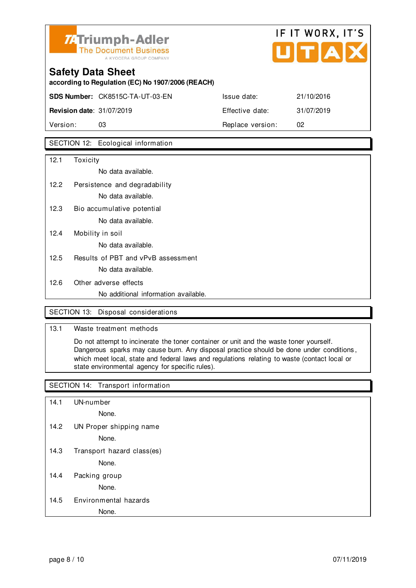

## **Safety Data Sheet according to Regulation (EC) No 1907/2006 (REACH) SDS Number:** CK8515C-TA-UT-03-EN Issue date: 21/10/2016 **Revision date**: 31/07/2019 **Effective date:** 31/07/2019

Version: 03 **Replace version:** 02

#### SECTION 12: Ecological information

| 12.1 | Toxicity                             |
|------|--------------------------------------|
|      | No data available.                   |
| 12.2 | Persistence and degradability        |
|      | No data available.                   |
| 12.3 | Bio accumulative potential           |
|      | No data available.                   |
| 12.4 | Mobility in soil                     |
|      | No data available.                   |
| 12.5 | Results of PBT and vPvB assessment   |
|      | No data available.                   |
| 12.6 | Other adverse effects                |
|      | No additional information available. |

#### SECTION 13: Disposal considerations

#### 13.1 Waste treatment methods

 Do not attempt to incinerate the toner container or unit and the waste toner yourself. Dangerous sparks may cause burn. Any disposal practice should be done under conditions , which meet local, state and federal laws and regulations relating to waste (contact local or state environmental agency for specific rules).

#### SECTION 14: Transport information

14.1 UN-number

None.

14.2 UN Proper shipping name

None.

14.3 Transport hazard class(es)

None.

14.4 Packing group

None.

#### 14.5 Environmental hazards

#### None.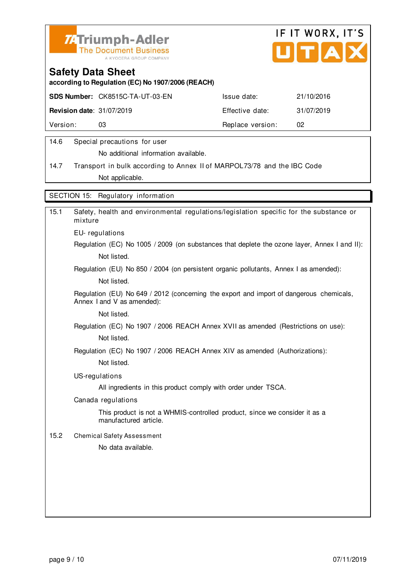



**according to Regulation (EC) No 1907/2006 (REACH)**

|                                  | <b>SDS Number: CK8515C-TA-UT-03-EN</b> | Issue date:      | 21/10/2016 |
|----------------------------------|----------------------------------------|------------------|------------|
| <b>Revision date: 31/07/2019</b> |                                        | Effective date:  | 31/07/2019 |
| Version:                         |                                        | Replace version: | 02         |
|                                  |                                        |                  |            |

#### 14.6 Special precautions for user

No additional information available.

14.7 Transport in bulk according to Annex II of MARPOL73/78 and the IBC Code Not applicable.

SECTION 15: Regulatory information

| Safety, health and environmental regulations/legislation specific for the substance or<br>mixture                     |
|-----------------------------------------------------------------------------------------------------------------------|
| EU-regulations                                                                                                        |
| Regulation (EC) No 1005 / 2009 (on substances that deplete the ozone layer, Annex I and II):                          |
| Not listed.                                                                                                           |
| Regulation (EU) No 850 / 2004 (on persistent organic pollutants, Annex I as amended):                                 |
| Not listed.                                                                                                           |
| Regulation (EU) No 649 / 2012 (concerning the export and import of dangerous chemicals,<br>Annex I and V as amended): |
| Not listed.                                                                                                           |
| Regulation (EC) No 1907 / 2006 REACH Annex XVII as amended (Restrictions on use):                                     |
| Not listed.                                                                                                           |
| Regulation (EC) No 1907 / 2006 REACH Annex XIV as amended (Authorizations):                                           |
| Not listed.                                                                                                           |
| US-regulations                                                                                                        |
| All ingredients in this product comply with order under TSCA.                                                         |
| Canada regulations                                                                                                    |
| This product is not a WHMIS-controlled product, since we consider it as a<br>manufactured article.                    |
| <b>Chemical Safety Assessment</b>                                                                                     |
| No data available.                                                                                                    |
|                                                                                                                       |
|                                                                                                                       |
|                                                                                                                       |
|                                                                                                                       |
|                                                                                                                       |
|                                                                                                                       |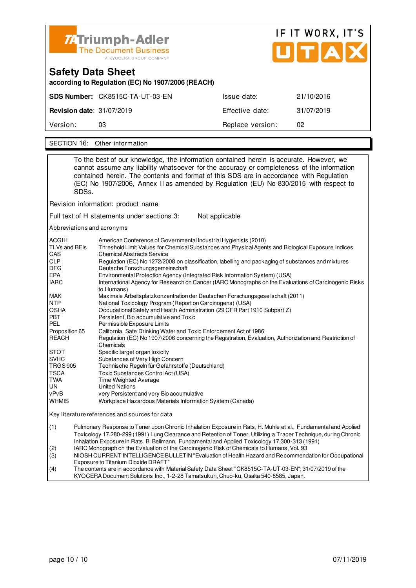

| <b>Safety Data Sheet</b><br>according to Regulation (EC) No 1907/2006 (REACH) |                                        |                  |            |
|-------------------------------------------------------------------------------|----------------------------------------|------------------|------------|
|                                                                               | <b>SDS Number: CK8515C-TA-UT-03-EN</b> | Issue date:      | 21/10/2016 |
| <b>Revision date: 31/07/2019</b>                                              |                                        | Effective date:  | 31/07/2019 |
| Version:                                                                      | 03                                     | Replace version: | 02         |
|                                                                               |                                        |                  |            |

SECTION 16: Other information

| To the best of our knowledge, the information contained herein is accurate. However, we<br>cannot assume any liability whatsoever for the accuracy or completeness of the information<br>contained herein. The contents and format of this SDS are in accordance with Regulation<br>(EC) No 1907/2006, Annex II as amended by Regulation (EU) No 830/2015 with respect to<br>SDSs.        |                                                                                                                                                                                                                                                                                                                                      |                                                                                                                                                                                                                                                                                                                                                                                                                                                                                                                                             |  |  |
|-------------------------------------------------------------------------------------------------------------------------------------------------------------------------------------------------------------------------------------------------------------------------------------------------------------------------------------------------------------------------------------------|--------------------------------------------------------------------------------------------------------------------------------------------------------------------------------------------------------------------------------------------------------------------------------------------------------------------------------------|---------------------------------------------------------------------------------------------------------------------------------------------------------------------------------------------------------------------------------------------------------------------------------------------------------------------------------------------------------------------------------------------------------------------------------------------------------------------------------------------------------------------------------------------|--|--|
|                                                                                                                                                                                                                                                                                                                                                                                           |                                                                                                                                                                                                                                                                                                                                      | Revision information: product name                                                                                                                                                                                                                                                                                                                                                                                                                                                                                                          |  |  |
|                                                                                                                                                                                                                                                                                                                                                                                           |                                                                                                                                                                                                                                                                                                                                      | Full text of H statements under sections 3:<br>Not applicable                                                                                                                                                                                                                                                                                                                                                                                                                                                                               |  |  |
|                                                                                                                                                                                                                                                                                                                                                                                           |                                                                                                                                                                                                                                                                                                                                      | Abbreviations and acronyms                                                                                                                                                                                                                                                                                                                                                                                                                                                                                                                  |  |  |
| ACGIH<br>TLVs and BEIs<br>CAS<br><b>CLP</b><br>DFG<br>EPA<br><b>IARC</b>                                                                                                                                                                                                                                                                                                                  |                                                                                                                                                                                                                                                                                                                                      | American Conference of Governmental Industrial Hygienists (2010)<br>Threshold Limit Values for Chemical Substances and Physical Agents and Biological Exposure Indices<br><b>Chemical Abstracts Service</b><br>Regulation (EC) No 1272/2008 on classification, labelling and packaging of substances and mixtures<br>Deutsche Forschungsgemeinschaft<br>Environmental Protection Agency (Integrated Risk Information System) (USA)<br>International Agency for Research on Cancer (IARC Monographs on the Evaluations of Carcinogenic Risks |  |  |
| MAK<br>NTP<br><b>OSHA</b><br>PBT<br>PEL                                                                                                                                                                                                                                                                                                                                                   |                                                                                                                                                                                                                                                                                                                                      | to Humans)<br>Maximale Arbeitsplatzkonzentration der Deutschen Forschungsgesellschaft (2011)<br>National Toxicology Program (Report on Carcinogens) (USA)<br>Occupational Safety and Health Administration (29 CFR Part 1910 Subpart Z)<br>Persistent, Bio accumulative and Toxic<br>Permissible Exposure Limits                                                                                                                                                                                                                            |  |  |
| Proposition 65<br>California, Safe Drinking Water and Toxic Enforcement Act of 1986<br><b>REACH</b><br>Chemicals<br><b>STOT</b><br>Specific target organ toxicity<br>SVHC<br>Substances of Very High Concern<br><b>TRGS 905</b><br>Technische Regeln für Gefahrstoffe (Deutschland)<br>TSCA<br>Toxic Substances Control Act (USA)<br>TWA<br>Time Weighted Average<br>UN<br>United Nations |                                                                                                                                                                                                                                                                                                                                      | Regulation (EC) No 1907/2006 concerning the Registration, Evaluation, Authorization and Restriction of                                                                                                                                                                                                                                                                                                                                                                                                                                      |  |  |
| vPvB<br><b>WHMIS</b>                                                                                                                                                                                                                                                                                                                                                                      |                                                                                                                                                                                                                                                                                                                                      | very Persistent and very Bio accumulative<br>Workplace Hazardous Materials Information System (Canada)                                                                                                                                                                                                                                                                                                                                                                                                                                      |  |  |
|                                                                                                                                                                                                                                                                                                                                                                                           |                                                                                                                                                                                                                                                                                                                                      | Key literature references and sources for data                                                                                                                                                                                                                                                                                                                                                                                                                                                                                              |  |  |
| (1)                                                                                                                                                                                                                                                                                                                                                                                       | Pulmonary Response to Toner upon Chronic Inhalation Exposure in Rats, H. Muhle et al., Fundamental and Applied<br>Toxicology 17.280-299 (1991) Lung Clearance and Retention of Toner, Utilizing a Tracer Technique, during Chronic<br>Inhalation Exposure in Rats, B. Bellmann, Fundamental and Applied Toxicology 17.300-313 (1991) |                                                                                                                                                                                                                                                                                                                                                                                                                                                                                                                                             |  |  |
| (2)<br>(3)                                                                                                                                                                                                                                                                                                                                                                                | IARC Monograph on the Evaluation of the Carcinogenic Risk of Chemicals to Humans, Vol. 93<br>NIOSH CURRENT INTELLIGENCE BULLETIN "Evaluation of Health Hazard and Recommendation for Occupational                                                                                                                                    |                                                                                                                                                                                                                                                                                                                                                                                                                                                                                                                                             |  |  |
| (4)                                                                                                                                                                                                                                                                                                                                                                                       | Exposure to Titanium Dioxide DRAFT"<br>The contents are in accordance with Material Safety Data Sheet "CK8515C-TA-UT-03-EN"; 31/07/2019 of the                                                                                                                                                                                       |                                                                                                                                                                                                                                                                                                                                                                                                                                                                                                                                             |  |  |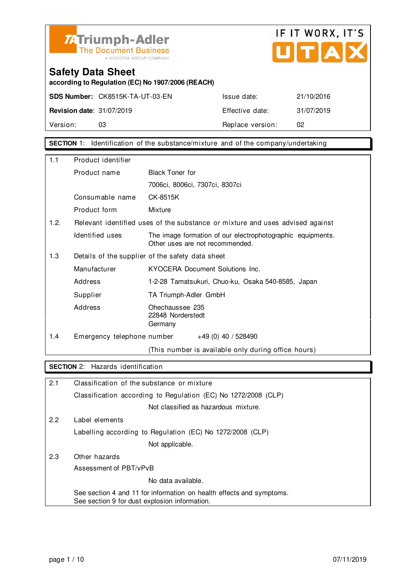



**according to Regulation (EC) No 1907/2006 (REACH)**

|                                  | <b>SDS Number: CK8515K-TA-UT-03-EN</b> | Issue date:      | 21/10/2016 |
|----------------------------------|----------------------------------------|------------------|------------|
| <b>Revision date: 31/07/2019</b> |                                        | Effective date:  | 31/07/2019 |
| Version:                         | 03                                     | Replace version: | 02         |

**SECTION** 1: Identification of the substance/mixture and of the company/undertaking

| 1.1  | Product identifier         |                                                                                               |  |  |
|------|----------------------------|-----------------------------------------------------------------------------------------------|--|--|
|      | Product name               | <b>Black Toner for</b>                                                                        |  |  |
|      |                            | 7006ci, 8006ci, 7307ci, 8307ci                                                                |  |  |
|      | Consumable name            | CK-8515K                                                                                      |  |  |
|      | Product form               | Mixture                                                                                       |  |  |
| 1.2. |                            | Relevant identified uses of the substance or mixture and uses advised against                 |  |  |
|      | Identified uses            | The image formation of our electrophotographic equipments.<br>Other uses are not recommended. |  |  |
| 1.3  |                            | Details of the supplier of the safety data sheet                                              |  |  |
|      | Manufacturer               | KYOCERA Document Solutions Inc.                                                               |  |  |
|      | Address                    | 1-2-28 Tamatsukuri, Chuo-ku, Osaka 540-8585, Japan                                            |  |  |
|      | Supplier                   | TA Triumph-Adler GmbH                                                                         |  |  |
|      | Address                    | Ohechaussee 235<br>22848 Norderstedt<br>Germany                                               |  |  |
| 1.4  | Emergency telephone number | $+49(0)$ 40 / 528490                                                                          |  |  |
|      |                            | (This number is available only during office hours)                                           |  |  |

#### **SECTION** 2: Hazards identification

| 2.1 | Classification of the substance or mixture                                                                            |  |
|-----|-----------------------------------------------------------------------------------------------------------------------|--|
|     | Classification according to Regulation (EC) No 1272/2008 (CLP)                                                        |  |
|     | Not classified as hazardous mixture.                                                                                  |  |
| 2.2 | Label elements                                                                                                        |  |
|     | Labelling according to Regulation (EC) No 1272/2008 (CLP)                                                             |  |
|     | Not applicable.                                                                                                       |  |
| 2.3 | Other hazards                                                                                                         |  |
|     | Assessment of PBT/vPvB                                                                                                |  |
|     | No data available.                                                                                                    |  |
|     | See section 4 and 11 for information on health effects and symptoms.<br>See section 9 for dust explosion information. |  |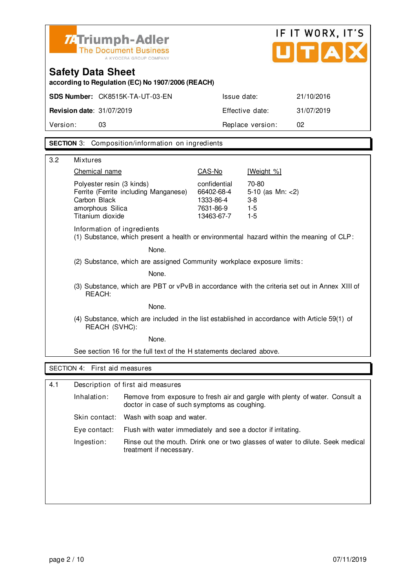

# IF IT WORX, IT'S UTAX

## **Safety Data Sheet**

**according to Regulation (EC) No 1907/2006 (REACH)**

|                                  | <b>SDS Number: CK8515K-TA-UT-03-EN</b> | Issue date:      | 21/10/2016 |
|----------------------------------|----------------------------------------|------------------|------------|
| <b>Revision date: 31/07/2019</b> |                                        | Effective date:  | 31/07/2019 |
| Version:                         | 03                                     | Replace version: | 02         |
|                                  |                                        |                  |            |

#### **SECTION** 3: Composition/information on ingredients

| 3.2 | Mixtures                                                                                                                   |                                                                    |                                                          |  |
|-----|----------------------------------------------------------------------------------------------------------------------------|--------------------------------------------------------------------|----------------------------------------------------------|--|
|     | Chemical name                                                                                                              | CAS-No                                                             | [Weight %]                                               |  |
|     | Polyester resin (3 kinds)<br>Ferrite (Ferrite including Manganese)<br>Carbon Black<br>amorphous Silica<br>Titanium dioxide | confidential<br>66402-68-4<br>1333-86-4<br>7631-86-9<br>13463-67-7 | 70-80<br>5-10 (as $Mn: < 2$ )<br>$3-8$<br>$1-5$<br>$1-5$ |  |
|     | Information of ingredients<br>(1) Substance, which present a health or environmental hazard within the meaning of CLP:     |                                                                    |                                                          |  |
|     | None.                                                                                                                      |                                                                    |                                                          |  |
|     | (2) Substance, which are assigned Community workplace exposure limits:<br>None.                                            |                                                                    |                                                          |  |
|     |                                                                                                                            |                                                                    |                                                          |  |
|     | (3) Substance, which are PBT or vPvB in accordance with the criteria set out in Annex XIII of<br>REACH:                    |                                                                    |                                                          |  |
|     | None.                                                                                                                      |                                                                    |                                                          |  |
|     | (4) Substance, which are included in the list established in accordance with Article 59(1) of<br><b>REACH (SVHC):</b>      |                                                                    |                                                          |  |
|     | None.                                                                                                                      |                                                                    |                                                          |  |
|     | See section 16 for the full text of the H statements declared above.                                                       |                                                                    |                                                          |  |
|     |                                                                                                                            |                                                                    |                                                          |  |
|     | SECTION 4: First aid measures                                                                                              |                                                                    |                                                          |  |
| 4.1 | Description of first aid measures                                                                                          |                                                                    |                                                          |  |

| Inhalation:   | Remove from exposure to fresh air and gargle with plenty of water. Consult a<br>doctor in case of such symptoms as coughing. |
|---------------|------------------------------------------------------------------------------------------------------------------------------|
| Skin contact: | Wash with soap and water.                                                                                                    |
| Eve contact:  | Flush with water immediately and see a doctor if irritating.                                                                 |
| Ingestion:    | Rinse out the mouth. Drink one or two glasses of water to dilute. Seek medical<br>treatment if necessary.                    |
|               |                                                                                                                              |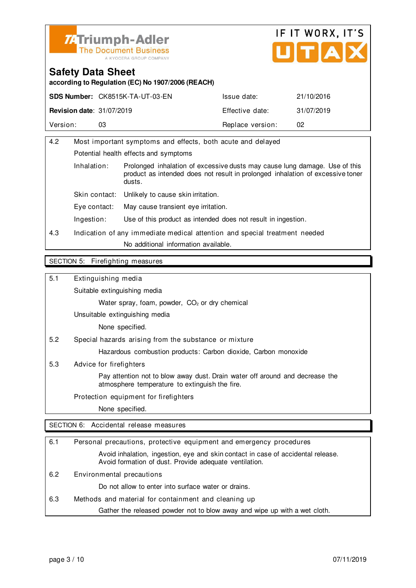



**according to Regulation (EC) No 1907/2006 (REACH)**

|                                  | <b>SDS Number: CK8515K-TA-UT-03-EN</b> | Issue date:      | 21/10/2016 |
|----------------------------------|----------------------------------------|------------------|------------|
| <b>Revision date: 31/07/2019</b> |                                        | Effective date:  | 31/07/2019 |
| Version:                         |                                        | Replace version: | 02         |

| 4.2 | Most important symptoms and effects, both acute and delayed                                                                                                                           |                                                                            |  |
|-----|---------------------------------------------------------------------------------------------------------------------------------------------------------------------------------------|----------------------------------------------------------------------------|--|
|     |                                                                                                                                                                                       | Potential health effects and symptoms                                      |  |
|     | Inhalation:<br>Prolonged inhalation of excessive dusts may cause lung damage. Use of this<br>product as intended does not result in prolonged inhalation of excessive toner<br>dusts. |                                                                            |  |
|     | Skin contact:                                                                                                                                                                         | Unlikely to cause skin irritation.                                         |  |
|     | May cause transient eve irritation.<br>Eye contact:                                                                                                                                   |                                                                            |  |
|     | Ingestion:                                                                                                                                                                            | Use of this product as intended does not result in ingestion.              |  |
| 4.3 |                                                                                                                                                                                       | Indication of any immediate medical attention and special treatment needed |  |
|     | No additional information available.                                                                                                                                                  |                                                                            |  |
|     |                                                                                                                                                                                       |                                                                            |  |

#### SECTION 5: Firefighting measures

5.1 Extinguishing media

Suitable extinguishing media

Water spray, foam, powder, CO<sub>2</sub> or dry chemical

Unsuitable extinguishing media

None specified.

5.2 Special hazards arising from the substance or mixture

Hazardous combustion products: Carbon dioxide, Carbon monoxide

5.3 Advice for firefighters

 Pay attention not to blow away dust. Drain water off around and decrease the atmosphere temperature to extinguish the fire.

Protection equipment for firefighters

None specified.

SECTION 6: Accidental release measures

| 6.1 | Personal precautions, protective equipment and emergency procedures                                                                        |
|-----|--------------------------------------------------------------------------------------------------------------------------------------------|
|     | Avoid inhalation, ingestion, eye and skin contact in case of accidental release.<br>Avoid formation of dust. Provide adequate ventilation. |
| 6.2 | Environmental precautions                                                                                                                  |
|     | Do not allow to enter into surface water or drains.                                                                                        |
| 6.3 | Methods and material for containment and cleaning up                                                                                       |
|     | Gather the released powder not to blow away and wipe up with a wet cloth.                                                                  |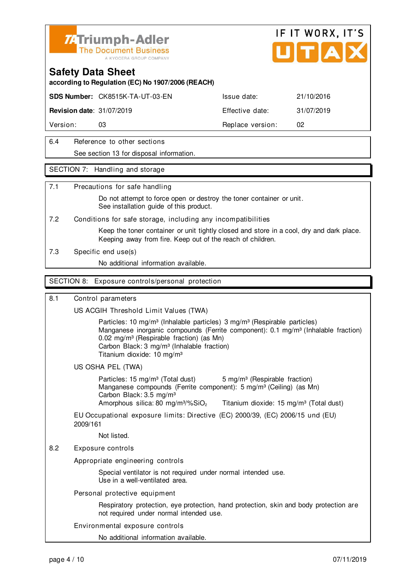

#### **Safety Data Sheet**

**according to Regulation (EC) No 1907/2006 (REACH)**

**SDS Number:** CK8515K-TA-UT-03-EN Issue date: 21/10/2016

**Revision date:** 31/07/2019 **Effective date:** 31/07/2019

Version: 03 03 Replace version: 02

6.4 Reference to other sections

See section 13 for disposal information.

#### SECTION 7: Handling and storage

#### 7.1 Precautions for safe handling

 Do not attempt to force open or destroy the toner container or unit. See installation quide of this product.

7.2 Conditions for safe storage, including any incompatibilities

 Keep the toner container or unit tightly closed and store in a cool, dry and dark place. Keeping away from fire. Keep out of the reach of children.

7.3 Specific end use(s)

No additional information available.

#### SECTION 8: Exposure controls/personal protection

#### 8.1 Control parameters

US ACGIH Threshold Limit Values (TWA)

Particles: 10 mg/m<sup>3</sup> (Inhalable particles) 3 mg/m<sup>3</sup> (Respirable particles) Manganese inorganic compounds (Ferrite component): 0.1 mg/m<sup>3</sup> (Inhalable fraction) 0.02 mg/m<sup>3</sup> (Respirable fraction) (as Mn) Carbon Black: 3 mg/m³ (Inhalable fraction) Titanium dioxide: 10 mg/m³

US OSHA PEL (TWA)

Particles: 15 mg/m<sup>3</sup> (Total dust) 5 mg/m<sup>3</sup> (Respirable fraction) Manganese compounds (Ferrite component): 5 mg/m<sup>3</sup> (Ceiling) (as Mn) Carbon Black: 3.5 mg/m³ Amorphous silica: 80 mg/m $\frac{3}{2}$  Titanium dioxide: 15 mg/m $\frac{3}{2}$  (Total dust)

EU Occupational exposure limits: Directive (EC) 2000/39, (EC) 2006/15 und (EU) 2009/161

Not listed.

#### 8.2 Exposure controls

Appropriate engineering controls

 Special ventilator is not required under normal intended use. Use in a well-ventilated area.

#### Personal protective equipment

 Respiratory protection, eye protection, hand protection, skin and body protection are not required under normal intended use.

Environmental exposure controls

No additional information available.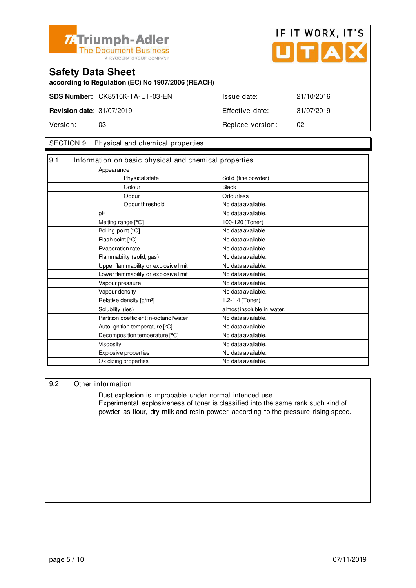



**according to Regulation (EC) No 1907/2006 (REACH)**

**SDS Number:** CK8515K-TA-UT-03-EN Issue date: 21/10/2016

**Revision date:** 31/07/2019 **Effective date:** 31/07/2019 Version: 03 03 Replace version: 02

#### SECTION 9: Physical and chemical properties

| 9.1<br>Information on basic physical and chemical properties |                            |
|--------------------------------------------------------------|----------------------------|
| Appearance                                                   |                            |
| <b>Physical state</b>                                        | Solid (fine powder)        |
| Colour                                                       | <b>Black</b>               |
| Odour                                                        | Odourless                  |
| Odour threshold                                              | No data available.         |
| рH                                                           | No data available.         |
| Melting range [°C]                                           | 100-120 (Toner)            |
| Boiling point [°C]                                           | No data available.         |
| Flash point [°C]                                             | No data available.         |
| Evaporation rate                                             | No data available.         |
| Flammability (solid, gas)                                    | No data available.         |
| Upper flammability or explosive limit                        | No data available.         |
| Lower flammability or explosive limit                        | No data available.         |
| Vapour pressure                                              | No data available.         |
| Vapour density                                               | No data available.         |
| Relative density [g/m <sup>3</sup> ]                         | 1.2-1.4 (Toner)            |
| Solubility (ies)                                             | almost insoluble in water. |
| Partition coefficient: n-octanol/water                       | No data available.         |
| Auto-ignition temperature [°C]                               | No data available.         |
| Decomposition temperature [°C]                               | No data available.         |
| <b>Viscosity</b>                                             | No data available.         |
| Explosive properties                                         | No data available.         |
| Oxidizing properties                                         | No data available.         |

#### 9.2 Other information

 Dust explosion is improbable under normal intended use. Experimental explosiveness of toner is classified into the same rank such kind of powder as flour, dry milk and resin powder according to the pressure rising speed.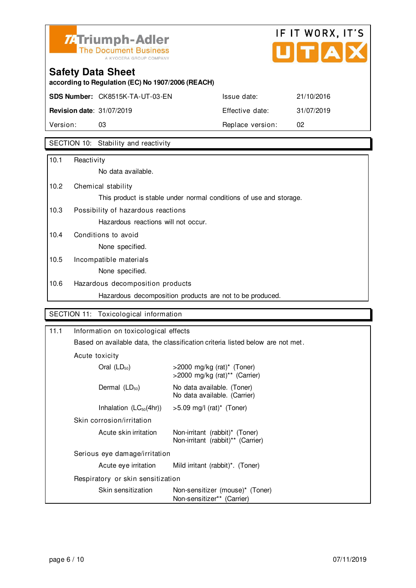

# IF IT WORX, IT'S  $\overline{\phantom{a}}$

## **Safety Data Sheet**

**according to Regulation (EC) No 1907/2006 (REACH)**

# **SDS Number:** CK8515K-TA-UT-03-EN Issue date: 21/10/2016 **Revision date:** 31/07/2019 **Effective date:** 31/07/2019 Version: 03 03 Replace version: 02

### SECTION 10: Stability and reactivity

| 10.1 | Reactivity                                                         |
|------|--------------------------------------------------------------------|
|      | No data available.                                                 |
| 10.2 | Chemical stability                                                 |
|      | This product is stable under normal conditions of use and storage. |
| 10.3 | Possibility of hazardous reactions                                 |
|      | Hazardous reactions will not occur.                                |
| 10.4 | Conditions to avoid                                                |
|      | None specified.                                                    |
| 10.5 | Incompatible materials                                             |
|      | None specified.                                                    |
| 10.6 | Hazardous decomposition products                                   |
|      | Hazardous decomposition products are not to be produced.           |

### SECTION 11: Toxicological information

| 11.1 | Information on toxicological effects                                           |                                                                     |  |
|------|--------------------------------------------------------------------------------|---------------------------------------------------------------------|--|
|      | Based on available data, the classification criteria listed below are not met. |                                                                     |  |
|      | Acute toxicity                                                                 |                                                                     |  |
|      | Oral $(LD_{50})$                                                               | $>$ 2000 mg/kg (rat)* (Toner)<br>>2000 mg/kg (rat)** (Carrier)      |  |
|      | Dermal $(LD_{50})$                                                             | No data available. (Toner)<br>No data available. (Carrier)          |  |
|      | Inhalation $(LC_{50}(4hr))$                                                    | $>5.09$ mg/l (rat)* (Toner)                                         |  |
|      | Skin corrosion/irritation                                                      |                                                                     |  |
|      | Acute skin irritation                                                          | Non-irritant (rabbit)* (Toner)<br>Non-irritant (rabbit)** (Carrier) |  |
|      | Serious eye damage/irritation                                                  |                                                                     |  |
|      | Acute eye irritation                                                           | Mild irritant (rabbit) <sup>*</sup> . (Toner)                       |  |
|      | Respiratory or skin sensitization                                              |                                                                     |  |
|      | Skin sensitization                                                             | Non-sensitizer (mouse)* (Toner)<br>Non-sensitizer** (Carrier)       |  |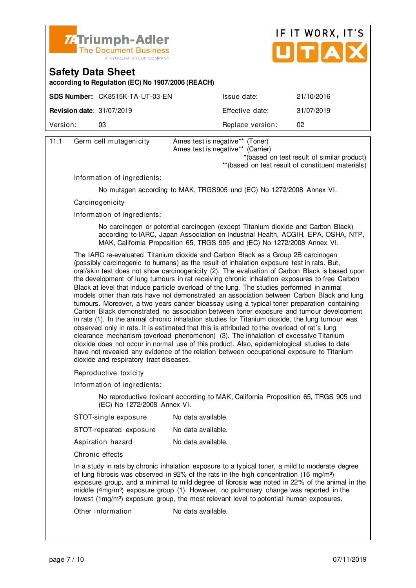



**according to Regulation (EC) No 1907/2006 (REACH)**

|                                  | <b>SDS Number: CK8515K-TA-UT-03-EN</b> | Issue date:      | 21/10/2016 |
|----------------------------------|----------------------------------------|------------------|------------|
| <b>Revision date: 31/07/2019</b> |                                        | Effective date:  | 31/07/2019 |
| Version:                         | 03                                     | Replace version: | 02         |
|                                  |                                        |                  |            |

| 11.1 | Germ cell mutagenicity | Ames test is negative** (Toner)   |  |
|------|------------------------|-----------------------------------|--|
|      |                        | Ames test is negative** (Carrier) |  |

\*(based on test result of similar product)

\*\*(based on test result of constituent materials)

Information of ingredients:

No mutagen according to MAK, TRGS905 und (EC) No 1272/2008 Annex VI.

**Carcinogenicity** 

Information of ingredients:

 No carcinogen or potential carcinogen (except Titanium dioxide and Carbon Black) according to IARC, Japan Association on Industrial Health, ACGIH, EPA, OSHA, NTP, MAK, California Proposition 65, TRGS 905 and (EC) No 1272/2008 Annex VI.

 The IARC re-evaluated Titanium dioxide and Carbon Black as a Group 2B carcinogen (possibly carcinogenic to humans) as the result of inhalation exposure test in rats. But, oral/skin test does not show carcinogenicity (2). The evaluation of Carbon Black is based upon the development of lung tumours in rat receiving chronic inhalation exposures to free Carbon Black at level that induce particle overload of the lung. The studies performed in animal models other than rats have not demonstrated an association between Carbon Black and lung tumours. Moreover, a two years cancer bioassay using a typical toner preparation containing Carbon Black demonstrated no association between toner exposure and tumour development in rats (1). In the animal chronic inhalation studies for Titanium dioxide, the lung tumour was observed only in rats. It is estimated that this is attributed to the overload of rat´s lung clearance mechanism (overload phenomenon) (3). The inhalation of excessive Titanium dioxide does not occur in normal use of this product. Also, epidemiological studies to date have not revealed any evidence of the relation between occupational exposure to Titanium dioxide and respiratory tract diseases.

Reproductive toxicity

Information of ingredients:

 No reproductive toxicant according to MAK, California Proposition 65, TRGS 905 und (EC) No 1272/2008 Annex VI.

| STOT-single exposure | No data available. |
|----------------------|--------------------|
|----------------------|--------------------|

| STOT-repeated exposure |
|------------------------|
|------------------------|

Aspiration hazard No data available.

Chronic effects

 In a study in rats by chronic inhalation exposure to a typical toner, a mild to moderate degree of lung fibrosis was observed in 92% of the rats in the high concentration (16 mg/m<sup>3</sup>) exposure group, and a minimal to mild degree of fibrosis was noted in 22% of the animal in the middle  $(4mg/m<sup>3</sup>)$  exposure group  $(1)$ . However, no pulmonary change was reported in the lowest (1mg/m<sup>3</sup>) exposure group, the most relevant level to potential human exposures.

Other information No data available.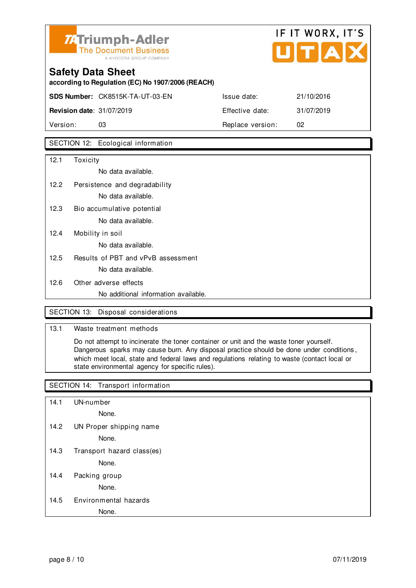

# **Safety Data Sheet according to Regulation (EC) No 1907/2006 (REACH) SDS Number:** CK8515K-TA-UT-03-EN Issue date: 21/10/2016 **Revision date:** 31/07/2019 **Effective date:** 31/07/2019

Version: 03 **Replace version:** 02

#### SECTION 12: Ecological information

| 12.1 | Toxicity                             |
|------|--------------------------------------|
|      | No data available.                   |
| 12.2 | Persistence and degradability        |
|      | No data available.                   |
| 12.3 | Bio accumulative potential           |
|      | No data available.                   |
| 12.4 | Mobility in soil                     |
|      | No data available.                   |
| 12.5 | Results of PBT and vPvB assessment   |
|      | No data available.                   |
| 12.6 | Other adverse effects                |
|      | No additional information available. |

#### SECTION 13: Disposal considerations

#### 13.1 Waste treatment methods

 Do not attempt to incinerate the toner container or unit and the waste toner yourself. Dangerous sparks may cause burn. Any disposal practice should be done under conditions , which meet local, state and federal laws and regulations relating to waste (contact local or state environmental agency for specific rules).

#### SECTION 14: Transport information

14.1 UN-number

None.

14.2 UN Proper shipping name

None.

14.3 Transport hazard class(es)

None.

14.4 Packing group

None.

#### 14.5 Environmental hazards

#### None.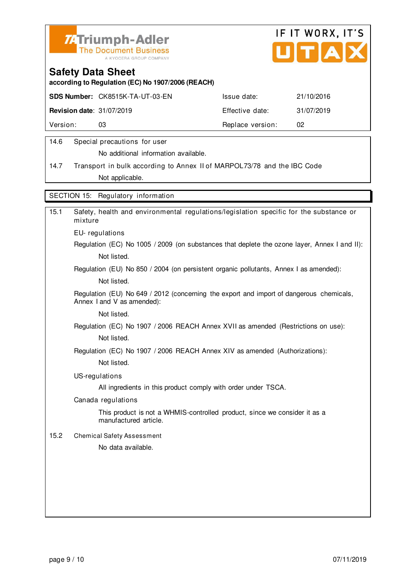



**according to Regulation (EC) No 1907/2006 (REACH)**

|                                  | <b>SDS Number: CK8515K-TA-UT-03-EN</b> | Issue date:      | 21/10/2016 |
|----------------------------------|----------------------------------------|------------------|------------|
| <b>Revision date: 31/07/2019</b> |                                        | Effective date:  | 31/07/2019 |
| Version:                         | DЗ                                     | Replace version: | 02         |
|                                  |                                        |                  |            |

#### 14.6 Special precautions for user

No additional information available.

14.7 Transport in bulk according to Annex II of MARPOL73/78 and the IBC Code Not applicable.

SECTION 15: Regulatory information

| 15.1 | Safety, health and environmental regulations/legislation specific for the substance or<br>mixture                     |
|------|-----------------------------------------------------------------------------------------------------------------------|
|      | EU-regulations                                                                                                        |
|      | Regulation (EC) No 1005 / 2009 (on substances that deplete the ozone layer, Annex I and II):                          |
|      | Not listed.                                                                                                           |
|      | Regulation (EU) No 850 / 2004 (on persistent organic pollutants, Annex I as amended):                                 |
|      | Not listed.                                                                                                           |
|      | Regulation (EU) No 649 / 2012 (concerning the export and import of dangerous chemicals,<br>Annex I and V as amended): |
|      | Not listed.                                                                                                           |
|      | Regulation (EC) No 1907 / 2006 REACH Annex XVII as amended (Restrictions on use):                                     |
|      | Not listed.                                                                                                           |
|      | Regulation (EC) No 1907 / 2006 REACH Annex XIV as amended (Authorizations):                                           |
|      | Not listed.                                                                                                           |
|      | US-regulations                                                                                                        |
|      | All ingredients in this product comply with order under TSCA.                                                         |
|      | Canada regulations                                                                                                    |
|      | This product is not a WHMIS-controlled product, since we consider it as a<br>manufactured article.                    |
| 15.2 | <b>Chemical Safety Assessment</b>                                                                                     |
|      | No data available.                                                                                                    |
|      |                                                                                                                       |
|      |                                                                                                                       |
|      |                                                                                                                       |
|      |                                                                                                                       |
|      |                                                                                                                       |
|      |                                                                                                                       |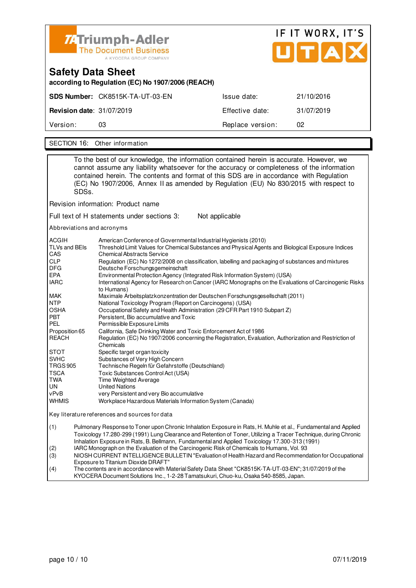

| <b>Safety Data Sheet</b><br>according to Regulation (EC) No 1907/2006 (REACH) |                                 |                  |            |
|-------------------------------------------------------------------------------|---------------------------------|------------------|------------|
|                                                                               | SDS Number: CK8515K-TA-UT-03-EN | Issue date:      | 21/10/2016 |
| <b>Revision date: 31/07/2019</b>                                              |                                 | Effective date:  | 31/07/2019 |
| Version:                                                                      | 03                              | Replace version: | 02         |
|                                                                               |                                 |                  |            |

SECTION 16: Other information

To the best of our knowledge, the information contained herein is accurate. However, we cannot assume any liability whatsoever for the accuracy or completeness of the information contained herein. The contents and format of this SDS are in accordance with Regulation (EC) No 1907/2006, Annex II as amended by Regulation (EU) No 830/2015 with respect to SDSs. Revision information: Product name Full text of H statements under sections 3: Not applicable Abbreviations and acronyms ACGIH American Conference of Governmental Industrial Hygienists (2010)<br>TLVs and BEIs Threshold Limit Values for Chemical Substances and Physical Agen Threshold Limit Values for Chemical Substances and Physical Agents and Biological Exposure Indices CAS Chemical Abstracts Service<br>CLP Requlation (EC) No 1272/20 CLP Regulation (EC) No 1272/2008 on classification, labelling and packaging of substances and mixtures<br>DEG Deutsche Forschungsgemeinschaft DFG Deutsche Forschungsgemeinschaft<br>EPA Environmental Protection Agency (In EPA Environmental Protection Agency (Integrated Risk Information System) (USA) International Agency for Research on Cancer (IARC Monographs on the Evaluations of Carcinogenic Risks to Humans)<br>MAK Maximale A MAK Maximale Arbeitsplatzkonzentration der Deutschen Forschungsgesellschaft (2011) NTP National Toxicology Program (Report on Carcinogens) (USA) OSHA Occupational Safety and Health Administration (29 CFR Part 1910 Subpart Z)<br>PBT Persistent, Bio accumulative and Toxic Persistent, Bio accumulative and Toxic PEL Permissible Exposure Limits Proposition 65 California, Safe Drinking Water and Toxic Enforcement Act of 1986 REACH Regulation (EC) No 1907/2006 concerning the Registration, Evaluation, Authorization and Restriction of Chemicals STOT Specific target organ toxicity<br>SVHC Substances of Very High Co Substances of Very High Concern TRGS 905 Technische Regeln für Gefahrstoffe (Deutschland) TSCA Toxic Substances Control Act (USA)<br>
TWA Time Weighted Average TWA Time Weighted Average<br>
UN United Nations UN United Nations<br>
vPvB very Persistent very Persistent and very Bio accumulative WHMIS Workplace Hazardous Materials Information System (Canada) Key literature references and sources for data (1) Pulmonary Response to Toner upon Chronic Inhalation Exposure in Rats, H. Muhle et al., Fundamental and Applied Toxicology 17.280-299 (1991) Lung Clearance and Retention of Toner, Utilizing a Tracer Technique, during Chronic Inhalation Exposure in Rats, B. Bellmann, Fundamental and Applied Toxicology 17.300-313 (1991) (2) IARC Monograph on the Evaluation of the Carcinogenic Risk of Chemicals to Humans, Vol. 93 (3) NIOSH CURRENT INTELLIGENCE BULLETIN "Evaluation of Health Hazard and Recommendation for Occupational Exposure to Titanium Dioxide DRAFT<br>(4) The contents are in accordance with N The contents are in accordance with Material Safety Data Sheet "CK8515K-TA-UT-03-EN"; 31/07/2019 of the

KYOCERA Document Solutions Inc., 1-2-28 Tamatsukuri, Chuo-ku, Osaka 540-8585, Japan.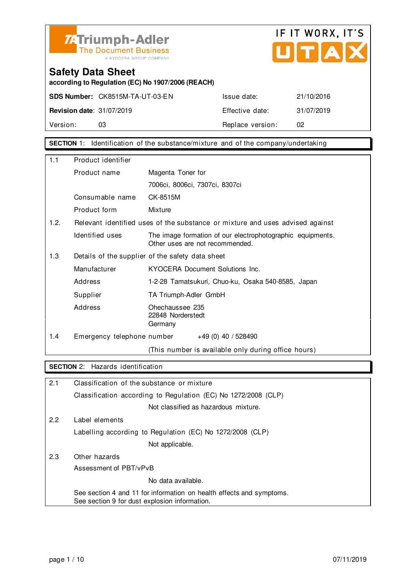



**according to Regulation (EC) No 1907/2006 (REACH)**

|                                  | <b>SDS Number: CK8515M-TA-UT-03-EN</b> | Issue date:      | 21/10/2016 |
|----------------------------------|----------------------------------------|------------------|------------|
| <b>Revision date: 31/07/2019</b> |                                        | Effective date:  | 31/07/2019 |
| Version:                         | 03                                     | Replace version: | 02         |

**SECTION** 1: Identification of the substance/mixture and of the company/undertaking

| 1.1                                                     | Product identifier         |                                                                                               |
|---------------------------------------------------------|----------------------------|-----------------------------------------------------------------------------------------------|
|                                                         | Product name               | Magenta Toner for                                                                             |
|                                                         |                            | 7006ci, 8006ci, 7307ci, 8307ci                                                                |
|                                                         | Consumable name            | CK-8515M                                                                                      |
|                                                         | Product form               | Mixture                                                                                       |
| 1.2.                                                    |                            | Relevant identified uses of the substance or mixture and uses advised against                 |
|                                                         | Identified uses            | The image formation of our electrophotographic equipments.<br>Other uses are not recommended. |
| 1.3<br>Details of the supplier of the safety data sheet |                            |                                                                                               |
|                                                         | Manufacturer               | KYOCERA Document Solutions Inc.                                                               |
|                                                         | Address                    | 1-2-28 Tamatsukuri, Chuo-ku, Osaka 540-8585, Japan                                            |
|                                                         | Supplier                   | TA Triumph-Adler GmbH                                                                         |
|                                                         | Address                    | Ohechaussee 235<br>22848 Norderstedt<br>Germany                                               |
| 1.4                                                     | Emergency telephone number | $+49(0)$ 40 / 528490                                                                          |
|                                                         |                            | (This number is available only during office hours)                                           |

#### **SECTION** 2: Hazards identification

| 2.1 | Classification of the substance or mixture                                                                            |
|-----|-----------------------------------------------------------------------------------------------------------------------|
|     | Classification according to Regulation (EC) No 1272/2008 (CLP)                                                        |
|     | Not classified as hazardous mixture.                                                                                  |
| 2.2 | Label elements                                                                                                        |
|     | Labelling according to Regulation (EC) No 1272/2008 (CLP)                                                             |
|     | Not applicable.                                                                                                       |
| 2.3 | Other hazards                                                                                                         |
|     | Assessment of PBT/vPvB                                                                                                |
|     | No data available.                                                                                                    |
|     | See section 4 and 11 for information on health effects and symptoms.<br>See section 9 for dust explosion information. |
|     |                                                                                                                       |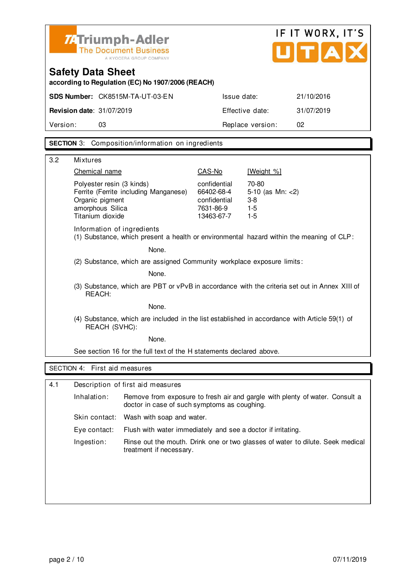

| <b>Safety Data Sheet</b>                          |
|---------------------------------------------------|
| according to Regulation (EC) No 1907/2006 (REACH) |

| <b>Revision date: 31/07/2019</b> | 31/07/2019<br>Effective date: |
|----------------------------------|-------------------------------|
| Version:                         | Replace version:              |
| 03                               | 02                            |

**SECTION** 3: Composition/information on ingredients

| 3.2 | <b>Mixtures</b>                                                                                                               |                                                                       |                                                          |  |
|-----|-------------------------------------------------------------------------------------------------------------------------------|-----------------------------------------------------------------------|----------------------------------------------------------|--|
|     | Chemical name                                                                                                                 | CAS-No                                                                | [Weight %]                                               |  |
|     | Polyester resin (3 kinds)<br>Ferrite (Ferrite including Manganese)<br>Organic pigment<br>amorphous Silica<br>Titanium dioxide | confidential<br>66402-68-4<br>confidential<br>7631-86-9<br>13463-67-7 | 70-80<br>5-10 (as $Mn: < 2$ )<br>$3-8$<br>$1-5$<br>$1-5$ |  |
|     | Information of ingredients<br>(1) Substance, which present a health or environmental hazard within the meaning of CLP:        |                                                                       |                                                          |  |
|     | None.                                                                                                                         |                                                                       |                                                          |  |
|     | (2) Substance, which are assigned Community workplace exposure limits:                                                        |                                                                       |                                                          |  |
|     | None.                                                                                                                         |                                                                       |                                                          |  |
|     | (3) Substance, which are PBT or vPvB in accordance with the criteria set out in Annex XIII of<br>REACH:                       |                                                                       |                                                          |  |
|     | None.                                                                                                                         |                                                                       |                                                          |  |
|     | (4) Substance, which are included in the list established in accordance with Article 59(1) of<br>REACH (SVHC):                |                                                                       |                                                          |  |
|     | None.                                                                                                                         |                                                                       |                                                          |  |
|     | See section 16 for the full text of the H statements declared above.                                                          |                                                                       |                                                          |  |
|     | SECTION 4: First aid measures                                                                                                 |                                                                       |                                                          |  |
|     |                                                                                                                               |                                                                       |                                                          |  |
| 4.1 | Description of first aid measures                                                                                             |                                                                       |                                                          |  |

| Inhalation:  | Remove from exposure to fresh air and gargle with plenty of water. Consult a<br>doctor in case of such symptoms as coughing. |
|--------------|------------------------------------------------------------------------------------------------------------------------------|
|              | Skin contact: Wash with soap and water.                                                                                      |
| Eye contact: | Flush with water immediately and see a doctor if irritating.                                                                 |
| Ingestion:   | Rinse out the mouth. Drink one or two glasses of water to dilute. Seek medical<br>treatment if necessary.                    |
|              |                                                                                                                              |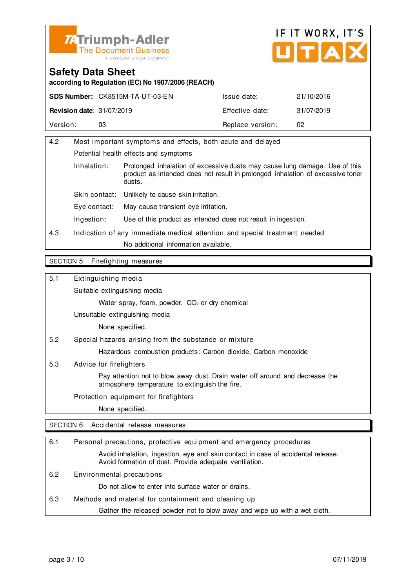



**according to Regulation (EC) No 1907/2006 (REACH)**

|                                  | <b>SDS Number: CK8515M-TA-UT-03-EN</b> | Issue date:      | 21/10/2016 |
|----------------------------------|----------------------------------------|------------------|------------|
| <b>Revision date: 31/07/2019</b> |                                        | Effective date:  | 31/07/2019 |
| Version:                         |                                        | Replace version: | 02         |

| 4.2 | Most important symptoms and effects, both acute and delayed                |                                                                                                                                                                        |  |
|-----|----------------------------------------------------------------------------|------------------------------------------------------------------------------------------------------------------------------------------------------------------------|--|
|     | Potential health effects and symptoms                                      |                                                                                                                                                                        |  |
|     | Inhalation:                                                                | Prolonged inhalation of excessive dusts may cause lung damage. Use of this<br>product as intended does not result in prolonged inhalation of excessive toner<br>dusts. |  |
|     | Skin contact:                                                              | Unlikely to cause skin irritation.                                                                                                                                     |  |
|     | Eve contact:                                                               | May cause transient eve irritation.                                                                                                                                    |  |
|     | Ingestion:                                                                 | Use of this product as intended does not result in ingestion.                                                                                                          |  |
| 4.3 | Indication of any immediate medical attention and special treatment needed |                                                                                                                                                                        |  |
|     |                                                                            | No additional information available.                                                                                                                                   |  |
|     |                                                                            |                                                                                                                                                                        |  |

#### SECTION 5: Firefighting measures

5.1 Extinguishing media

Suitable extinguishing media

Water spray, foam, powder, CO<sub>2</sub> or dry chemical

Unsuitable extinguishing media

None specified.

5.2 Special hazards arising from the substance or mixture

Hazardous combustion products: Carbon dioxide, Carbon monoxide

5.3 Advice for firefighters

 Pay attention not to blow away dust. Drain water off around and decrease the atmosphere temperature to extinguish the fire.

Protection equipment for firefighters

None specified.

SECTION 6: Accidental release measures

| 6.1 | Personal precautions, protective equipment and emergency procedures                                                                        |
|-----|--------------------------------------------------------------------------------------------------------------------------------------------|
|     | Avoid inhalation, ingestion, eye and skin contact in case of accidental release.<br>Avoid formation of dust. Provide adequate ventilation. |
| 6.2 | Environmental precautions                                                                                                                  |
|     | Do not allow to enter into surface water or drains.                                                                                        |
| 6.3 | Methods and material for containment and cleaning up                                                                                       |
|     | Gather the released powder not to blow away and wipe up with a wet cloth.                                                                  |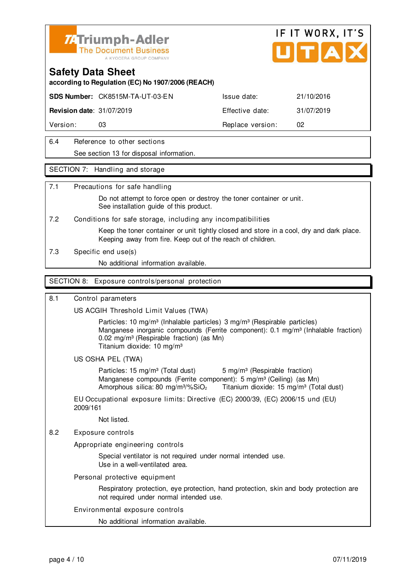

#### **Safety Data Sheet**

**according to Regulation (EC) No 1907/2006 (REACH)**

**SDS Number:** CK8515M-TA-UT-03-EN Issue date: 21/10/2016

**Revision date:** 31/07/2019 **Effective date:** 31/07/2019

Version: 03 03 Replace version: 02

6.4 Reference to other sections See section 13 for disposal information.

#### SECTION 7: Handling and storage

#### 7.1 Precautions for safe handling

 Do not attempt to force open or destroy the toner container or unit. See installation quide of this product.

7.2 Conditions for safe storage, including any incompatibilities

 Keep the toner container or unit tightly closed and store in a cool, dry and dark place. Keeping away from fire. Keep out of the reach of children.

7.3 Specific end use(s)

No additional information available.

#### SECTION 8: Exposure controls/personal protection

#### 8.1 Control parameters

US ACGIH Threshold Limit Values (TWA)

Particles: 10 mg/m<sup>3</sup> (Inhalable particles) 3 mg/m<sup>3</sup> (Respirable particles) Manganese inorganic compounds (Ferrite component): 0.1 mg/m<sup>3</sup> (Inhalable fraction) 0.02 mg/m<sup>3</sup> (Respirable fraction) (as Mn) Titanium dioxide: 10 mg/m³

#### US OSHA PEL (TWA)

Particles: 15 mg/m<sup>3</sup> (Total dust) 5 mg/m<sup>3</sup> (Respirable fraction) Manganese compounds (Ferrite component): 5 mg/m<sup>3</sup> (Ceiling) (as Mn) Amorphous silica: 80 mg/m $\frac{3}{2}$  Titanium dioxide: 15 mg/m $\frac{3}{2}$  (Total dust)

EU Occupational exposure limits: Directive (EC) 2000/39, (EC) 2006/15 und (EU) 2009/161

Not listed.

8.2 Exposure controls

Appropriate engineering controls

 Special ventilator is not required under normal intended use. Use in a well-ventilated area.

Personal protective equipment

 Respiratory protection, eye protection, hand protection, skin and body protection are not required under normal intended use.

#### Environmental exposure controls

No additional information available.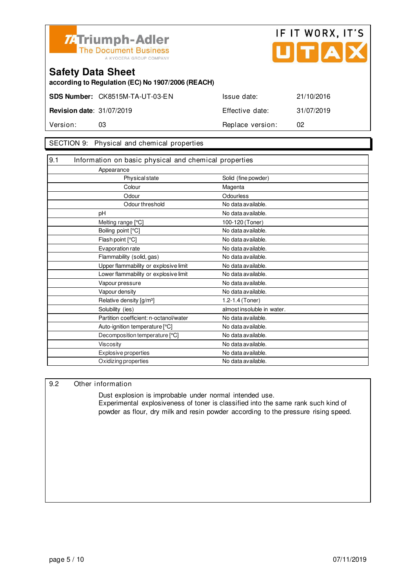

#### **Safety Data Sheet**

**according to Regulation (EC) No 1907/2006 (REACH)**

**SDS Number:** CK8515M-TA-UT-03-EN Issue date: 21/10/2016

**Revision date:** 31/07/2019 **Effective date:** 31/07/2019 Version: 03 **Replace version:** 02

#### SECTION 9: Physical and chemical properties

| 9.1 | Information on basic physical and chemical properties |                            |
|-----|-------------------------------------------------------|----------------------------|
|     | Appearance                                            |                            |
|     | Physical state                                        | Solid (fine powder)        |
|     | Colour                                                | Magenta                    |
|     | Odour                                                 | Odourless                  |
|     | Odour threshold                                       | No data available.         |
|     | pH                                                    | No data available.         |
|     | Melting range [°C]                                    | 100-120 (Toner)            |
|     | Boiling point [°C]                                    | No data available.         |
|     | Flash point [°C]                                      | No data available.         |
|     | Evaporation rate                                      | No data available.         |
|     | Flammability (solid, gas)                             | No data available.         |
|     | Upper flammability or explosive limit                 | No data available.         |
|     | Lower flammability or explosive limit                 | No data available.         |
|     | Vapour pressure                                       | No data available.         |
|     | Vapour density                                        | No data available.         |
|     | Relative density [g/m <sup>3</sup> ]                  | 1.2-1.4 (Toner)            |
|     | Solubility (ies)                                      | almost insoluble in water. |
|     | Partition coefficient: n-octanol/water                | No data available.         |
|     | Auto-ignition temperature [°C]                        | No data available.         |
|     | Decomposition temperature [°C]                        | No data available.         |
|     | <b>Viscosity</b>                                      | No data available.         |
|     | Explosive properties                                  | No data available.         |
|     | Oxidizing properties                                  | No data available.         |

#### 9.2 Other information

 Dust explosion is improbable under normal intended use. Experimental explosiveness of toner is classified into the same rank such kind of powder as flour, dry milk and resin powder according to the pressure rising speed.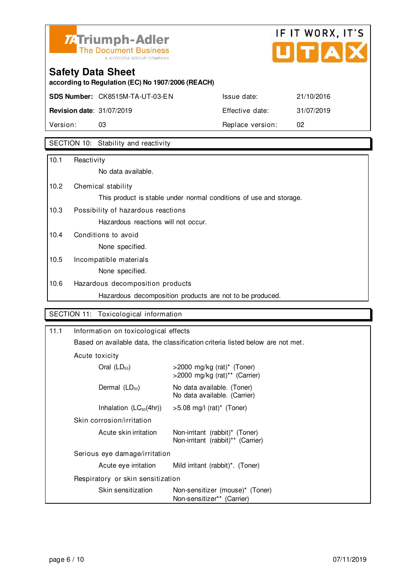

# IF IT WORX, IT'S  $\overline{\phantom{a}}$

## **Safety Data Sheet**

**according to Regulation (EC) No 1907/2006 (REACH)**

**SDS Number:** CK8515M-TA-UT-03-EN Issue date: 21/10/2016

# **Revision date:** 31/07/2019 **Effective date:** 31/07/2019 Version: 03 03 Replace version: 02

### SECTION 10: Stability and reactivity

| 10.1 | Reactivity                                                         |
|------|--------------------------------------------------------------------|
|      | No data available.                                                 |
| 10.2 | Chemical stability                                                 |
|      | This product is stable under normal conditions of use and storage. |
| 10.3 | Possibility of hazardous reactions                                 |
|      | Hazardous reactions will not occur.                                |
| 10.4 | Conditions to avoid                                                |
|      | None specified.                                                    |
| 10.5 | Incompatible materials                                             |
|      | None specified.                                                    |
| 10.6 | Hazardous decomposition products                                   |
|      | Hazardous decomposition products are not to be produced.           |

#### SECTION 11: Toxicological information

| 11.1 |                                                                                | Information on toxicological effects                                |  |
|------|--------------------------------------------------------------------------------|---------------------------------------------------------------------|--|
|      | Based on available data, the classification criteria listed below are not met. |                                                                     |  |
|      | Acute toxicity                                                                 |                                                                     |  |
|      | Oral $(LD_{50})$                                                               | $>$ 2000 mg/kg (rat)* (Toner)<br>>2000 mg/kg (rat)** (Carrier)      |  |
|      | Dermal $(LD_{50})$                                                             | No data available. (Toner)<br>No data available. (Carrier)          |  |
|      | Inhalation $(LC_{50}(4hr))$                                                    | $>5.08$ mg/l (rat)* (Toner)                                         |  |
|      | Skin corrosion/irritation                                                      |                                                                     |  |
|      | Acute skin irritation                                                          | Non-irritant (rabbit)* (Toner)<br>Non-irritant (rabbit)** (Carrier) |  |
|      | Serious eye damage/irritation                                                  |                                                                     |  |
|      | Acute eye irritation                                                           | Mild irritant (rabbit) <sup>*</sup> . (Toner)                       |  |
|      | Respiratory or skin sensitization                                              |                                                                     |  |
|      | Skin sensitization                                                             | Non-sensitizer (mouse)* (Toner)<br>Non-sensitizer** (Carrier)       |  |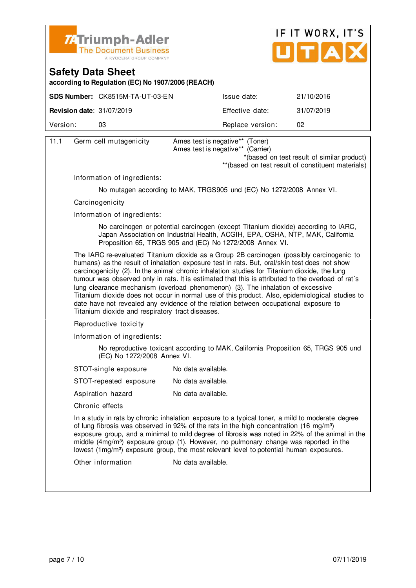

#### **Safety Data Sheet**

**according to Regulation (EC) No 1907/2006 (REACH)**

|                                  | <b>SDS Number: CK8515M-TA-UT-03-EN</b> | Issue date:      | 21/10/2016 |
|----------------------------------|----------------------------------------|------------------|------------|
| <b>Revision date: 31/07/2019</b> |                                        | Effective date:  | 31/07/2019 |
| Version:                         | O3                                     | Replace version: | 02         |
|                                  |                                        |                  |            |

| 11.1 | Germ cell mutagenicity                           | Ames test is negative** (Toner)                                                                                                                                                                                                                                                                                                                                                                                                                                                                                                                                                                                                                                               |
|------|--------------------------------------------------|-------------------------------------------------------------------------------------------------------------------------------------------------------------------------------------------------------------------------------------------------------------------------------------------------------------------------------------------------------------------------------------------------------------------------------------------------------------------------------------------------------------------------------------------------------------------------------------------------------------------------------------------------------------------------------|
|      |                                                  | Ames test is negative** (Carrier)                                                                                                                                                                                                                                                                                                                                                                                                                                                                                                                                                                                                                                             |
|      |                                                  | *(based on test result of similar product)                                                                                                                                                                                                                                                                                                                                                                                                                                                                                                                                                                                                                                    |
|      |                                                  | ** (based on test result of constituent materials)                                                                                                                                                                                                                                                                                                                                                                                                                                                                                                                                                                                                                            |
|      | Information of ingredients:                      |                                                                                                                                                                                                                                                                                                                                                                                                                                                                                                                                                                                                                                                                               |
|      |                                                  | No mutagen according to MAK, TRGS905 und (EC) No 1272/2008 Annex VI.                                                                                                                                                                                                                                                                                                                                                                                                                                                                                                                                                                                                          |
|      | Carcinogenicity                                  |                                                                                                                                                                                                                                                                                                                                                                                                                                                                                                                                                                                                                                                                               |
|      | Information of ingredients:                      |                                                                                                                                                                                                                                                                                                                                                                                                                                                                                                                                                                                                                                                                               |
|      |                                                  | No carcinogen or potential carcinogen (except Titanium dioxide) according to IARC,<br>Japan Association on Industrial Health, ACGIH, EPA, OSHA, NTP, MAK, California<br>Proposition 65, TRGS 905 and (EC) No 1272/2008 Annex VI.                                                                                                                                                                                                                                                                                                                                                                                                                                              |
|      | Titanium dioxide and respiratory tract diseases. | The IARC re-evaluated Titanium dioxide as a Group 2B carcinogen (possibly carcinogenic to<br>humans) as the result of inhalation exposure test in rats. But, oral/skin test does not show<br>carcinogenicity (2). In the animal chronic inhalation studies for Titanium dioxide, the lung<br>tumour was observed only in rats. It is estimated that this is attributed to the overload of rat's<br>lung clearance mechanism (overload phenomenon) (3). The inhalation of excessive<br>Titanium dioxide does not occur in normal use of this product. Also, epidemiological studies to<br>date have not revealed any evidence of the relation between occupational exposure to |
|      | Reproductive toxicity                            |                                                                                                                                                                                                                                                                                                                                                                                                                                                                                                                                                                                                                                                                               |
|      | Information of ingredients:                      |                                                                                                                                                                                                                                                                                                                                                                                                                                                                                                                                                                                                                                                                               |
|      | (EC) No 1272/2008 Annex VI.                      | No reproductive toxicant according to MAK, California Proposition 65, TRGS 905 und                                                                                                                                                                                                                                                                                                                                                                                                                                                                                                                                                                                            |
|      | STOT-single exposure                             | No data available.                                                                                                                                                                                                                                                                                                                                                                                                                                                                                                                                                                                                                                                            |
|      | STOT-repeated exposure                           | No data available.                                                                                                                                                                                                                                                                                                                                                                                                                                                                                                                                                                                                                                                            |
|      | Aspiration hazard                                | No data available.                                                                                                                                                                                                                                                                                                                                                                                                                                                                                                                                                                                                                                                            |
|      | Chronic effects                                  |                                                                                                                                                                                                                                                                                                                                                                                                                                                                                                                                                                                                                                                                               |
|      |                                                  | In a study in rats by chronic inhalation exposure to a typical toner, a mild to moderate degree<br>of lung fibrosis was observed in 92% of the rats in the high concentration (16 mg/m <sup>3</sup> )<br>exposure group, and a minimal to mild degree of fibrosis was noted in 22% of the animal in the<br>middle $(4mg/m3)$ exposure group (1). However, no pulmonary change was reported in the<br>lowest (1mg/m <sup>3</sup> ) exposure group, the most relevant level to potential human exposures.                                                                                                                                                                       |
|      | Other information                                | No data available.                                                                                                                                                                                                                                                                                                                                                                                                                                                                                                                                                                                                                                                            |
|      |                                                  |                                                                                                                                                                                                                                                                                                                                                                                                                                                                                                                                                                                                                                                                               |
|      |                                                  |                                                                                                                                                                                                                                                                                                                                                                                                                                                                                                                                                                                                                                                                               |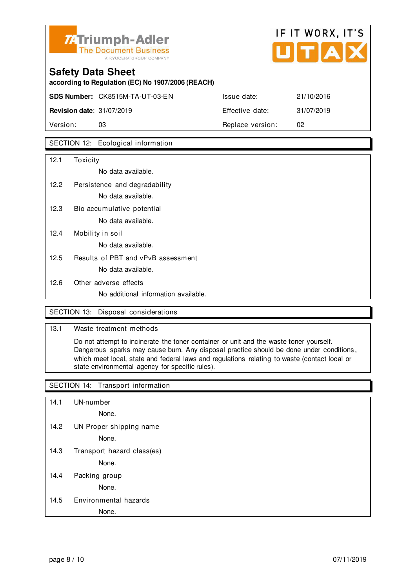

## **Safety Data Sheet according to Regulation (EC) No 1907/2006 (REACH) SDS Number:** CK8515M-TA-UT-03-EN Issue date: 21/10/2016 **Revision date**: 31/07/2019 **Effective date:** 31/07/2019 Version: 03 03 Replace version: 02

### SECTION 12: Ecological information

| 12.1 | Toxicity                             |
|------|--------------------------------------|
|      | No data available.                   |
| 12.2 | Persistence and degradability        |
|      | No data available.                   |
| 12.3 | Bio accumulative potential           |
|      | No data available.                   |
| 12.4 | Mobility in soil                     |
|      | No data available.                   |
| 12.5 | Results of PBT and vPvB assessment   |
|      | No data available.                   |
| 12.6 | Other adverse effects                |
|      | No additional information available. |

#### SECTION 13: Disposal considerations

#### 13.1 Waste treatment methods

 Do not attempt to incinerate the toner container or unit and the waste toner yourself. Dangerous sparks may cause burn. Any disposal practice should be done under conditions , which meet local, state and federal laws and regulations relating to waste (contact local or state environmental agency for specific rules).

#### SECTION 14: Transport information

14.1 UN-number

None.

14.2 UN Proper shipping name

None.

14.3 Transport hazard class(es)

None.

14.4 Packing group

None.

#### 14.5 Environmental hazards

#### None.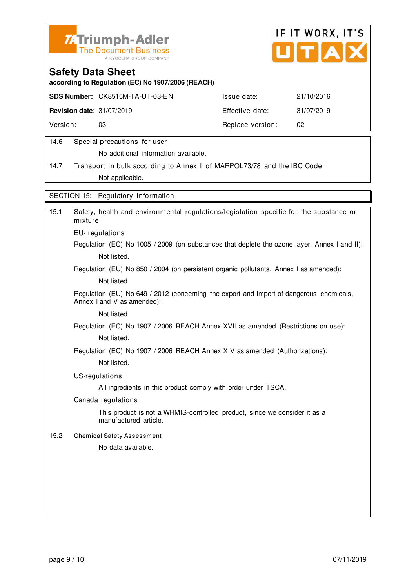



**according to Regulation (EC) No 1907/2006 (REACH)**

| <b>SDS Number: CK8515M-TA-UT-03-EN</b><br>21/10/2016<br>Issue date: |  |
|---------------------------------------------------------------------|--|
| <b>Revision date: 31/07/2019</b><br>31/07/2019<br>Effective date:   |  |
| Version:<br>Replace version:<br>02<br>03                            |  |

#### 14.6 Special precautions for user

No additional information available.

14.7 Transport in bulk according to Annex II of MARPOL73/78 and the IBC Code Not applicable.

SECTION 15: Regulatory information

| Safety, health and environmental regulations/legislation specific for the substance or<br>mixture                     |
|-----------------------------------------------------------------------------------------------------------------------|
| EU-regulations                                                                                                        |
| Regulation (EC) No 1005 / 2009 (on substances that deplete the ozone layer, Annex I and II):                          |
| Not listed.                                                                                                           |
| Regulation (EU) No 850 / 2004 (on persistent organic pollutants, Annex I as amended):                                 |
| Not listed.                                                                                                           |
| Regulation (EU) No 649 / 2012 (concerning the export and import of dangerous chemicals,<br>Annex I and V as amended): |
| Not listed.                                                                                                           |
| Regulation (EC) No 1907 / 2006 REACH Annex XVII as amended (Restrictions on use):                                     |
| Not listed.                                                                                                           |
| Regulation (EC) No 1907 / 2006 REACH Annex XIV as amended (Authorizations):                                           |
| Not listed.                                                                                                           |
| US-regulations                                                                                                        |
| All ingredients in this product comply with order under TSCA.                                                         |
| Canada regulations                                                                                                    |
| This product is not a WHMIS-controlled product, since we consider it as a<br>manufactured article.                    |
| <b>Chemical Safety Assessment</b>                                                                                     |
| No data available.                                                                                                    |
|                                                                                                                       |
|                                                                                                                       |
|                                                                                                                       |
|                                                                                                                       |
|                                                                                                                       |
|                                                                                                                       |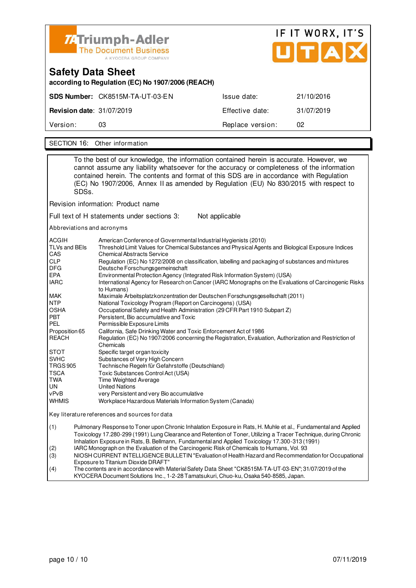

| <b>Safety Data Sheet</b><br>according to Regulation (EC) No 1907/2006 (REACH) |                                 |                  |            |  |
|-------------------------------------------------------------------------------|---------------------------------|------------------|------------|--|
|                                                                               | SDS Number: CK8515M-TA-UT-03-EN | Issue date:      | 21/10/2016 |  |
| <b>Revision date: 31/07/2019</b>                                              |                                 | Effective date:  | 31/07/2019 |  |
| Version:                                                                      | 03                              | Replace version: | 02         |  |
|                                                                               |                                 |                  |            |  |

SECTION 16: Other information

To the best of our knowledge, the information contained herein is accurate. However, we cannot assume any liability whatsoever for the accuracy or completeness of the information contained herein. The contents and format of this SDS are in accordance with Regulation (EC) No 1907/2006, Annex II as amended by Regulation (EU) No 830/2015 with respect to SDSs. Revision information: Product name Full text of H statements under sections 3: Not applicable Abbreviations and acronyms ACGIH American Conference of Governmental Industrial Hygienists (2010)<br>TLVs and BEIs Threshold Limit Values for Chemical Substances and Physical Agen Threshold Limit Values for Chemical Substances and Physical Agents and Biological Exposure Indices CAS Chemical Abstracts Service<br>CLP Requlation (EC) No 1272/20 CLP Regulation (EC) No 1272/2008 on classification, labelling and packaging of substances and mixtures<br>DEG Deutsche Forschungsgemeinschaft DFG Deutsche Forschungsgemeinschaft<br>EPA Environmental Protection Agency (In EPA Environmental Protection Agency (Integrated Risk Information System) (USA) International Agency for Research on Cancer (IARC Monographs on the Evaluations of Carcinogenic Risks to Humans)<br>MAK Maximale A MAK Maximale Arbeitsplatzkonzentration der Deutschen Forschungsgesellschaft (2011) NTP National Toxicology Program (Report on Carcinogens) (USA) OSHA Occupational Safety and Health Administration (29 CFR Part 1910 Subpart Z) Persistent, Bio accumulative and Toxic PEL Permissible Exposure Limits Proposition 65 California, Safe Drinking Water and Toxic Enforcement Act of 1986 REACH Regulation (EC) No 1907/2006 concerning the Registration, Evaluation, Authorization and Restriction of Chemicals STOT Specific target organ toxicity<br>SVHC Substances of Very High Co Substances of Very High Concern TRGS 905 Technische Regeln für Gefahrstoffe (Deutschland) TSCA Toxic Substances Control Act (USA)<br>
TWA Time Weighted Average TWA Time Weighted Average<br>
UN United Nations UN United Nations<br>
vPvB very Persistent very Persistent and very Bio accumulative WHMIS Workplace Hazardous Materials Information System (Canada) Key literature references and sources for data (1) Pulmonary Response to Toner upon Chronic Inhalation Exposure in Rats, H. Muhle et al., Fundamental and Applied Toxicology 17.280-299 (1991) Lung Clearance and Retention of Toner, Utilizing a Tracer Technique, during Chronic

Inhalation Exposure in Rats, B. Bellmann, Fundamental and Applied Toxicology 17.300-313 (1991)

(2) IARC Monograph on the Evaluation of the Carcinogenic Risk of Chemicals to Humans, Vol. 93

(3) NIOSH CURRENT INTELLIGENCE BULLETIN "Evaluation of Health Hazard and Recommendation for Occupational Exposure to Titanium Dioxide DRAFT<br>(4) The contents are in accordance with N

The contents are in accordance with Material Safety Data Sheet "CK8515M-TA-UT-03-EN"; 31/07/2019 of the KYOCERA Document Solutions Inc., 1-2-28 Tamatsukuri, Chuo-ku, Osaka 540-8585, Japan.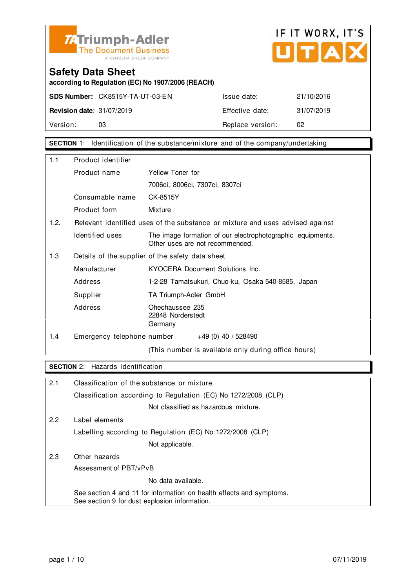



**according to Regulation (EC) No 1907/2006 (REACH)**

**SDS Number:** CK8515Y-TA-UT-03-EN Issue date: 21/10/2016 **Revision date:** 31/07/2019 **Effective date:** 31/07/2019 Version: 03 03 Replace version: 02

**SECTION** 1: Identification of the substance/mixture and of the company/undertaking

| 1.1  | Product identifier         |                                                                                               |
|------|----------------------------|-----------------------------------------------------------------------------------------------|
|      | Product name               | Yellow Toner for                                                                              |
|      |                            | 7006ci, 8006ci, 7307ci, 8307ci                                                                |
|      | Consumable name            | CK-8515Y                                                                                      |
|      | Product form               | Mixture                                                                                       |
| 1.2. |                            | Relevant identified uses of the substance or mixture and uses advised against                 |
|      | Identified uses            | The image formation of our electrophotographic equipments.<br>Other uses are not recommended. |
| 1.3  |                            | Details of the supplier of the safety data sheet                                              |
|      | Manufacturer               | KYOCERA Document Solutions Inc.                                                               |
|      | Address                    | 1-2-28 Tamatsukuri, Chuo-ku, Osaka 540-8585, Japan                                            |
|      | Supplier                   | TA Triumph-Adler GmbH                                                                         |
|      | Address                    | Ohechaussee 235<br>22848 Norderstedt<br>Germany                                               |
| 1.4  | Emergency telephone number | $+49(0)$ 40 / 528490                                                                          |
|      |                            | (This number is available only during office hours)                                           |

#### **SECTION** 2: Hazards identification

| 2.1 | Classification of the substance or mixture                                                                            |
|-----|-----------------------------------------------------------------------------------------------------------------------|
|     | Classification according to Regulation (EC) No 1272/2008 (CLP)                                                        |
|     | Not classified as hazardous mixture.                                                                                  |
| 2.2 | Label elements                                                                                                        |
|     | Labelling according to Regulation (EC) No 1272/2008 (CLP)                                                             |
|     | Not applicable.                                                                                                       |
| 2.3 | Other hazards                                                                                                         |
|     | Assessment of PBT/vPvB                                                                                                |
|     | No data available.                                                                                                    |
|     | See section 4 and 11 for information on health effects and symptoms.<br>See section 9 for dust explosion information. |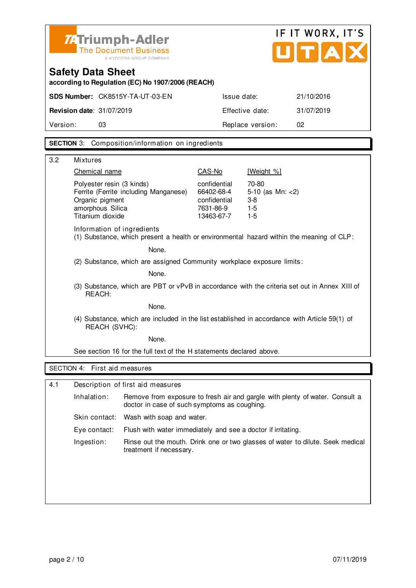

## **Safety Data Sheet according to Regulation (EC) No 1907/2006 (REACH)**

| Version:                                      | 03                                     | Replace version: |            |
|-----------------------------------------------|----------------------------------------|------------------|------------|
| <b>Revision date: <math>31/07/2019</math></b> |                                        | Effective date:  | 31/07/2019 |
|                                               | <b>SDS Number: CK8515Y-TA-UT-03-EN</b> | Issue date:      | 21/10/2016 |

#### **SECTION** 3: Composition/information on ingredients

| 3.2         | <b>Mixtures</b>                                                                                                               |                                                                       |                                                            |
|-------------|-------------------------------------------------------------------------------------------------------------------------------|-----------------------------------------------------------------------|------------------------------------------------------------|
|             | Chemical name                                                                                                                 | CAS-No                                                                | [Weight %]                                                 |
|             | Polyester resin (3 kinds)<br>Ferrite (Ferrite including Manganese)<br>Organic pigment<br>amorphous Silica<br>Titanium dioxide | confidential<br>66402-68-4<br>confidential<br>7631-86-9<br>13463-67-7 | 70-80<br>5-10 (as $Mn: < 2$ )<br>$3-8$<br>$1-5$<br>$1 - 5$ |
|             | Information of ingredients<br>(1) Substance, which present a health or environmental hazard within the meaning of CLP:        |                                                                       |                                                            |
|             | None.                                                                                                                         |                                                                       |                                                            |
|             | (2) Substance, which are assigned Community workplace exposure limits:                                                        |                                                                       |                                                            |
| None.       |                                                                                                                               |                                                                       |                                                            |
|             | (3) Substance, which are PBT or vPvB in accordance with the criteria set out in Annex XIII of<br>REACH:                       |                                                                       |                                                            |
|             | None.                                                                                                                         |                                                                       |                                                            |
|             | (4) Substance, which are included in the list established in accordance with Article 59(1) of<br>REACH (SVHC):                |                                                                       |                                                            |
|             | None.                                                                                                                         |                                                                       |                                                            |
|             | See section 16 for the full text of the H statements declared above.                                                          |                                                                       |                                                            |
|             | SECTION 4: First aid measures                                                                                                 |                                                                       |                                                            |
|             |                                                                                                                               |                                                                       |                                                            |
| $\Lambda$ 1 | Decerintion of first aid measures                                                                                             |                                                                       |                                                            |

| 4.1 | Description of first aid measures |                                                                                                                              |  |
|-----|-----------------------------------|------------------------------------------------------------------------------------------------------------------------------|--|
|     | Inhalation:                       | Remove from exposure to fresh air and gargle with plenty of water. Consult a<br>doctor in case of such symptoms as coughing. |  |
|     |                                   | Skin contact: Wash with soap and water.                                                                                      |  |
|     | Eye contact:                      | Flush with water immediately and see a doctor if irritating.                                                                 |  |
|     | Ingestion:                        | Rinse out the mouth. Drink one or two glasses of water to dilute. Seek medical<br>treatment if necessary.                    |  |
|     |                                   |                                                                                                                              |  |
|     |                                   |                                                                                                                              |  |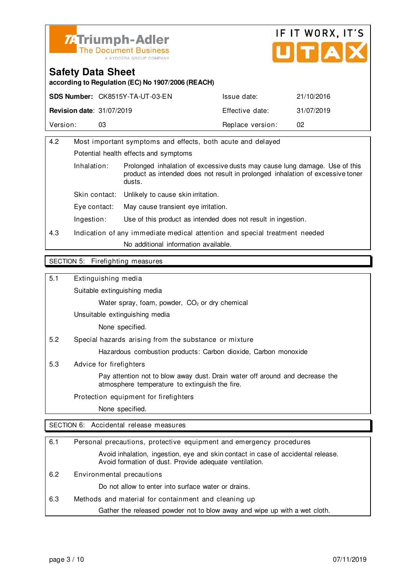



**according to Regulation (EC) No 1907/2006 (REACH)**

|                                  | <b>SDS Number: CK8515Y-TA-UT-03-EN</b> | Issue date:      | 21/10/2016 |
|----------------------------------|----------------------------------------|------------------|------------|
| <b>Revision date: 31/07/2019</b> |                                        | Effective date:  | 31/07/2019 |
| Version:                         |                                        | Replace version: | 02         |

| 4.2                   | Most important symptoms and effects, both acute and delayed                |                                                                                                                                                              |  |
|-----------------------|----------------------------------------------------------------------------|--------------------------------------------------------------------------------------------------------------------------------------------------------------|--|
|                       | Potential health effects and symptoms                                      |                                                                                                                                                              |  |
| Inhalation:<br>dusts. |                                                                            | Prolonged inhalation of excessive dusts may cause lung damage. Use of this<br>product as intended does not result in prolonged inhalation of excessive toner |  |
|                       | Unlikely to cause skin irritation.<br>Skin contact:                        |                                                                                                                                                              |  |
|                       | May cause transient eye irritation.<br>Eve contact:                        |                                                                                                                                                              |  |
|                       | Ingestion:                                                                 | Use of this product as intended does not result in ingestion.                                                                                                |  |
| 4.3                   | Indication of any immediate medical attention and special treatment needed |                                                                                                                                                              |  |
|                       | No additional information available.                                       |                                                                                                                                                              |  |
|                       |                                                                            |                                                                                                                                                              |  |

#### SECTION 5: Firefighting measures

5.1 Extinguishing media

Suitable extinguishing media

Water spray, foam, powder, CO<sub>2</sub> or dry chemical

Unsuitable extinguishing media

None specified.

5.2 Special hazards arising from the substance or mixture

Hazardous combustion products: Carbon dioxide, Carbon monoxide

5.3 Advice for firefighters

 Pay attention not to blow away dust. Drain water off around and decrease the atmosphere temperature to extinguish the fire.

Protection equipment for firefighters

None specified.

SECTION 6: Accidental release measures

| 6.1 | Personal precautions, protective equipment and emergency procedures                                                                        |
|-----|--------------------------------------------------------------------------------------------------------------------------------------------|
|     | Avoid inhalation, ingestion, eye and skin contact in case of accidental release.<br>Avoid formation of dust. Provide adequate ventilation. |
| 6.2 | Environmental precautions                                                                                                                  |
|     | Do not allow to enter into surface water or drains.                                                                                        |
| 6.3 | Methods and material for containment and cleaning up                                                                                       |
|     | Gather the released powder not to blow away and wipe up with a wet cloth.                                                                  |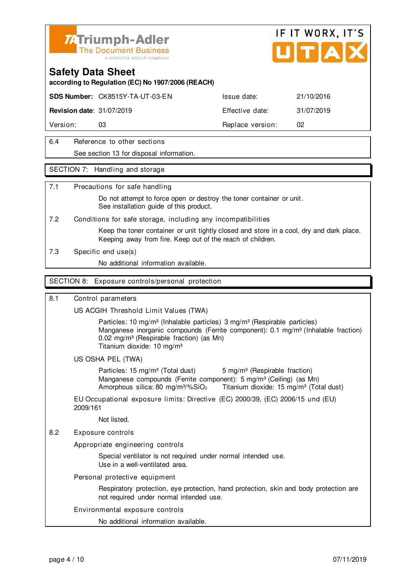

#### **Safety Data Sheet**

**according to Regulation (EC) No 1907/2006 (REACH)**

**SDS Number:** CK8515Y-TA-UT-03-EN Issue date: 21/10/2016

**Revision date:** 31/07/2019 **Effective date:** 31/07/2019

Version: 03 03 Replace version: 02

6.4 Reference to other sections See section 13 for disposal information.

#### SECTION 7: Handling and storage

#### 7.1 Precautions for safe handling

 Do not attempt to force open or destroy the toner container or unit. See installation quide of this product.

7.2 Conditions for safe storage, including any incompatibilities

 Keep the toner container or unit tightly closed and store in a cool, dry and dark place. Keeping away from fire. Keep out of the reach of children.

7.3 Specific end use(s)

No additional information available.

#### SECTION 8: Exposure controls/personal protection

#### 8.1 Control parameters

US ACGIH Threshold Limit Values (TWA)

Particles: 10 mg/m<sup>3</sup> (Inhalable particles) 3 mg/m<sup>3</sup> (Respirable particles) Manganese inorganic compounds (Ferrite component): 0.1 mg/m<sup>3</sup> (Inhalable fraction) 0.02 mg/m<sup>3</sup> (Respirable fraction) (as Mn) Titanium dioxide: 10 mg/m³

#### US OSHA PEL (TWA)

Particles: 15 mg/m<sup>3</sup> (Total dust) 5 mg/m<sup>3</sup> (Respirable fraction) Manganese compounds (Ferrite component): 5 mg/m<sup>3</sup> (Ceiling) (as Mn) Amorphous silica: 80 mg/m $\frac{3}{2}$  Titanium dioxide: 15 mg/m $\frac{3}{2}$  (Total dust)

EU Occupational exposure limits: Directive (EC) 2000/39, (EC) 2006/15 und (EU) 2009/161

Not listed.

8.2 Exposure controls

Appropriate engineering controls

 Special ventilator is not required under normal intended use. Use in a well-ventilated area.

Personal protective equipment

 Respiratory protection, eye protection, hand protection, skin and body protection are not required under normal intended use.

#### Environmental exposure controls

No additional information available.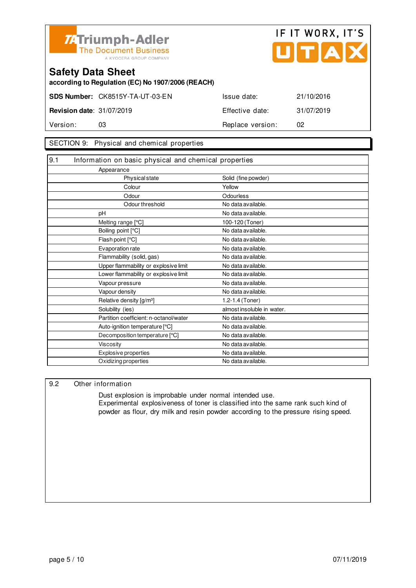



**according to Regulation (EC) No 1907/2006 (REACH)**

|                                  | SDS Number: CK8515Y-TA-UT-03-EN | Issue date:      | 21/10/2016 |
|----------------------------------|---------------------------------|------------------|------------|
| <b>Revision date: 31/07/2019</b> |                                 | Effective date:  | 31/07/2019 |
| Version:                         |                                 | Replace version: | 02         |

#### SECTION 9: Physical and chemical properties

| 9.1 | Information on basic physical and chemical properties |                            |
|-----|-------------------------------------------------------|----------------------------|
|     | Appearance                                            |                            |
|     | Physical state                                        | Solid (fine powder)        |
|     | Colour                                                | Yellow                     |
|     | Odour                                                 | Odourless                  |
|     | Odour threshold                                       | No data available.         |
|     | pH                                                    | No data available.         |
|     | Melting range [°C]                                    | 100-120 (Toner)            |
|     | Boiling point [°C]                                    | No data available.         |
|     | Flash point [°C]                                      | No data available.         |
|     | Evaporation rate                                      | No data available.         |
|     | Flammability (solid, gas)                             | No data available.         |
|     | Upper flammability or explosive limit                 | No data available.         |
|     | Lower flammability or explosive limit                 | No data available.         |
|     | Vapour pressure                                       | No data available.         |
|     | Vapour density                                        | No data available.         |
|     | Relative density [g/m <sup>3</sup> ]                  | 1.2-1.4 (Toner)            |
|     | Solubility (ies)                                      | almost insoluble in water. |
|     | Partition coefficient: n-octanol/water                | No data available.         |
|     | Auto-ignition temperature [°C]                        | No data available.         |
|     | Decomposition temperature [°C]                        | No data available.         |
|     | Viscosity                                             | No data available.         |
|     | Explosive properties                                  | No data available.         |
|     | Oxidizing properties                                  | No data available.         |

#### 9.2 Other information

 Dust explosion is improbable under normal intended use. Experimental explosiveness of toner is classified into the same rank such kind of powder as flour, dry milk and resin powder according to the pressure rising speed.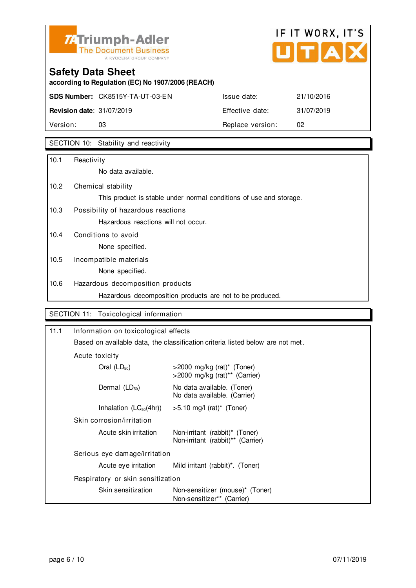

# IF IT WORX, IT'S  $\overline{\phantom{a}}$

## **Safety Data Sheet**

**according to Regulation (EC) No 1907/2006 (REACH)**

**SDS Number:** CK8515Y-TA-UT-03-EN Issue date: 21/10/2016

**Revision date:** 31/07/2019 **Effective date:** 31/07/2019 Version: 03 03 Replace version: 02

### SECTION 10: Stability and reactivity

| 10.1 | Reactivity                                                         |
|------|--------------------------------------------------------------------|
|      | No data available.                                                 |
| 10.2 | Chemical stability                                                 |
|      | This product is stable under normal conditions of use and storage. |
| 10.3 | Possibility of hazardous reactions                                 |
|      | Hazardous reactions will not occur.                                |
| 10.4 | Conditions to avoid                                                |
|      | None specified.                                                    |
| 10.5 | Incompatible materials                                             |
|      | None specified.                                                    |
| 10.6 | Hazardous decomposition products                                   |
|      | Hazardous decomposition products are not to be produced.           |

#### SECTION 11: Toxicological information

| 11.1                                                                           | Information on toxicological effects |                                                                     |  |
|--------------------------------------------------------------------------------|--------------------------------------|---------------------------------------------------------------------|--|
| Based on available data, the classification criteria listed below are not met. |                                      |                                                                     |  |
|                                                                                | Acute toxicity                       |                                                                     |  |
|                                                                                | Oral $(LD_{50})$                     | $>$ 2000 mg/kg (rat)* (Toner)<br>>2000 mg/kg (rat)** (Carrier)      |  |
|                                                                                | Dermal $(LD_{50})$                   | No data available. (Toner)<br>No data available. (Carrier)          |  |
|                                                                                | Inhalation $(LC_{50}(4hr))$          | $>5.10$ mg/l (rat)* (Toner)                                         |  |
|                                                                                | Skin corrosion/irritation            |                                                                     |  |
|                                                                                | Acute skin irritation                | Non-irritant (rabbit)* (Toner)<br>Non-irritant (rabbit)** (Carrier) |  |
|                                                                                | Serious eye damage/irritation        |                                                                     |  |
|                                                                                | Acute eye irritation                 | Mild irritant (rabbit) <sup>*</sup> . (Toner)                       |  |
|                                                                                | Respiratory or skin sensitization    |                                                                     |  |
|                                                                                | Skin sensitization                   | Non-sensitizer (mouse)* (Toner)<br>Non-sensitizer** (Carrier)       |  |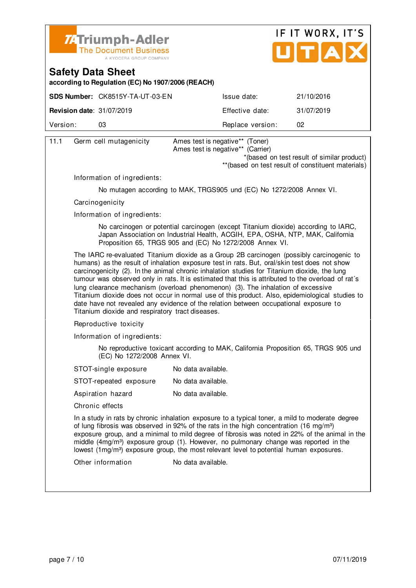



**according to Regulation (EC) No 1907/2006 (REACH)**

|                                  | <b>SDS Number: CK8515Y-TA-UT-03-EN</b> | Issue date:      | 21/10/2016 |
|----------------------------------|----------------------------------------|------------------|------------|
| <b>Revision date: 31/07/2019</b> |                                        | Effective date:  | 31/07/2019 |
| Version:                         | O3                                     | Replace version: | 02         |
|                                  |                                        |                  |            |

| 11.1 | Germ cell mutagenicity                           | Ames test is negative** (Toner)<br>Ames test is negative** (Carrier)                                                                                                                                                                                                                                                                                                                                                                                                                                                                                                                                                                                                          |  |  |  |
|------|--------------------------------------------------|-------------------------------------------------------------------------------------------------------------------------------------------------------------------------------------------------------------------------------------------------------------------------------------------------------------------------------------------------------------------------------------------------------------------------------------------------------------------------------------------------------------------------------------------------------------------------------------------------------------------------------------------------------------------------------|--|--|--|
|      |                                                  | *(based on test result of similar product)                                                                                                                                                                                                                                                                                                                                                                                                                                                                                                                                                                                                                                    |  |  |  |
|      |                                                  | ** (based on test result of constituent materials)                                                                                                                                                                                                                                                                                                                                                                                                                                                                                                                                                                                                                            |  |  |  |
|      | Information of ingredients:                      |                                                                                                                                                                                                                                                                                                                                                                                                                                                                                                                                                                                                                                                                               |  |  |  |
|      |                                                  | No mutagen according to MAK, TRGS905 und (EC) No 1272/2008 Annex VI.                                                                                                                                                                                                                                                                                                                                                                                                                                                                                                                                                                                                          |  |  |  |
|      | Carcinogenicity                                  |                                                                                                                                                                                                                                                                                                                                                                                                                                                                                                                                                                                                                                                                               |  |  |  |
|      | Information of ingredients:                      |                                                                                                                                                                                                                                                                                                                                                                                                                                                                                                                                                                                                                                                                               |  |  |  |
|      |                                                  | No carcinogen or potential carcinogen (except Titanium dioxide) according to IARC,<br>Japan Association on Industrial Health, ACGIH, EPA, OSHA, NTP, MAK, California<br>Proposition 65, TRGS 905 and (EC) No 1272/2008 Annex VI.                                                                                                                                                                                                                                                                                                                                                                                                                                              |  |  |  |
|      | Titanium dioxide and respiratory tract diseases. | The IARC re-evaluated Titanium dioxide as a Group 2B carcinogen (possibly carcinogenic to<br>humans) as the result of inhalation exposure test in rats. But, oral/skin test does not show<br>carcinogenicity (2). In the animal chronic inhalation studies for Titanium dioxide, the lung<br>tumour was observed only in rats. It is estimated that this is attributed to the overload of rat's<br>lung clearance mechanism (overload phenomenon) (3). The inhalation of excessive<br>Titanium dioxide does not occur in normal use of this product. Also, epidemiological studies to<br>date have not revealed any evidence of the relation between occupational exposure to |  |  |  |
|      | Reproductive toxicity                            |                                                                                                                                                                                                                                                                                                                                                                                                                                                                                                                                                                                                                                                                               |  |  |  |
|      | Information of ingredients:                      |                                                                                                                                                                                                                                                                                                                                                                                                                                                                                                                                                                                                                                                                               |  |  |  |
|      | (EC) No 1272/2008 Annex VI.                      | No reproductive toxicant according to MAK, California Proposition 65, TRGS 905 und                                                                                                                                                                                                                                                                                                                                                                                                                                                                                                                                                                                            |  |  |  |
|      | STOT-single exposure                             | No data available.                                                                                                                                                                                                                                                                                                                                                                                                                                                                                                                                                                                                                                                            |  |  |  |
|      | STOT-repeated exposure                           | No data available.                                                                                                                                                                                                                                                                                                                                                                                                                                                                                                                                                                                                                                                            |  |  |  |
|      | Aspiration hazard                                | No data available.                                                                                                                                                                                                                                                                                                                                                                                                                                                                                                                                                                                                                                                            |  |  |  |
|      | Chronic effects                                  |                                                                                                                                                                                                                                                                                                                                                                                                                                                                                                                                                                                                                                                                               |  |  |  |
|      |                                                  | In a study in rats by chronic inhalation exposure to a typical toner, a mild to moderate degree<br>of lung fibrosis was observed in 92% of the rats in the high concentration (16 mg/m <sup>3</sup> )<br>exposure group, and a minimal to mild degree of fibrosis was noted in 22% of the animal in the<br>middle (4mg/m <sup>3</sup> ) exposure group (1). However, no pulmonary change was reported in the<br>lowest (1mg/m <sup>3</sup> ) exposure group, the most relevant level to potential human exposures.                                                                                                                                                            |  |  |  |
|      | Other information                                | No data available.                                                                                                                                                                                                                                                                                                                                                                                                                                                                                                                                                                                                                                                            |  |  |  |
|      |                                                  |                                                                                                                                                                                                                                                                                                                                                                                                                                                                                                                                                                                                                                                                               |  |  |  |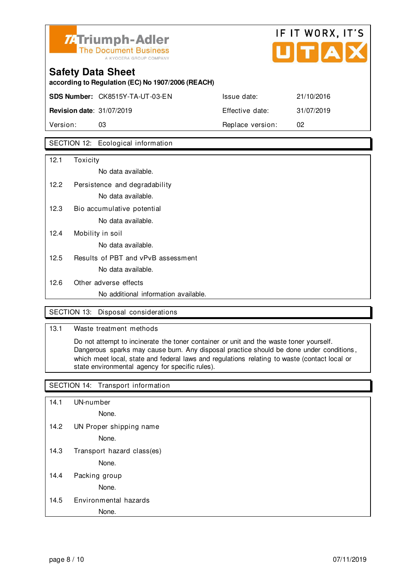

# **Safety Data Sheet according to Regulation (EC) No 1907/2006 (REACH) SDS Number:** CK8515Y-TA-UT-03-EN Issue date: 21/10/2016 **Revision date:** 31/07/2019 **Effective date:** 31/07/2019

Version: 03 **Replace version:** 02

#### SECTION 12: Ecological information

| 12.1 | Toxicity                             |
|------|--------------------------------------|
|      | No data available.                   |
| 12.2 | Persistence and degradability        |
|      | No data available.                   |
| 12.3 | Bio accumulative potential           |
|      | No data available.                   |
| 12.4 | Mobility in soil                     |
|      | No data available.                   |
| 12.5 | Results of PBT and vPvB assessment   |
|      | No data available.                   |
| 12.6 | Other adverse effects                |
|      | No additional information available. |

#### SECTION 13: Disposal considerations

#### 13.1 Waste treatment methods

 Do not attempt to incinerate the toner container or unit and the waste toner yourself. Dangerous sparks may cause burn. Any disposal practice should be done under conditions , which meet local, state and federal laws and regulations relating to waste (contact local or state environmental agency for specific rules).

#### SECTION 14: Transport information

14.1 UN-number

None.

14.2 UN Proper shipping name

None.

14.3 Transport hazard class(es)

None.

14.4 Packing group

None.

#### 14.5 Environmental hazards

#### None.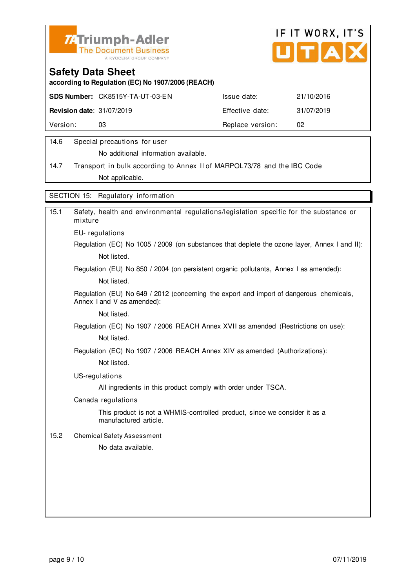



**according to Regulation (EC) No 1907/2006 (REACH)**

|                                  | <b>SDS Number: CK8515Y-TA-UT-03-EN</b> | Issue date:      | 21/10/2016 |
|----------------------------------|----------------------------------------|------------------|------------|
| <b>Revision date: 31/07/2019</b> |                                        | Effective date:  | 31/07/2019 |
| Version:                         | 03                                     | Replace version: | 02         |
|                                  |                                        |                  |            |

#### 14.6 Special precautions for user

No additional information available.

14.7 Transport in bulk according to Annex II of MARPOL73/78 and the IBC Code Not applicable.

SECTION 15: Regulatory information

| 15.1 | Safety, health and environmental regulations/legislation specific for the substance or<br>mixture                     |
|------|-----------------------------------------------------------------------------------------------------------------------|
|      | EU-regulations                                                                                                        |
|      | Regulation (EC) No 1005 / 2009 (on substances that deplete the ozone layer, Annex I and II):                          |
|      | Not listed.                                                                                                           |
|      | Regulation (EU) No 850 / 2004 (on persistent organic pollutants, Annex I as amended):                                 |
|      | Not listed.                                                                                                           |
|      | Regulation (EU) No 649 / 2012 (concerning the export and import of dangerous chemicals,<br>Annex I and V as amended): |
|      | Not listed.                                                                                                           |
|      | Regulation (EC) No 1907 / 2006 REACH Annex XVII as amended (Restrictions on use):                                     |
|      | Not listed.                                                                                                           |
|      | Regulation (EC) No 1907 / 2006 REACH Annex XIV as amended (Authorizations):                                           |
|      | Not listed.                                                                                                           |
|      | US-regulations                                                                                                        |
|      | All ingredients in this product comply with order under TSCA.                                                         |
|      | Canada regulations                                                                                                    |
|      | This product is not a WHMIS-controlled product, since we consider it as a<br>manufactured article.                    |
| 15.2 | <b>Chemical Safety Assessment</b>                                                                                     |
|      | No data available.                                                                                                    |
|      |                                                                                                                       |
|      |                                                                                                                       |
|      |                                                                                                                       |
|      |                                                                                                                       |
|      |                                                                                                                       |
|      |                                                                                                                       |